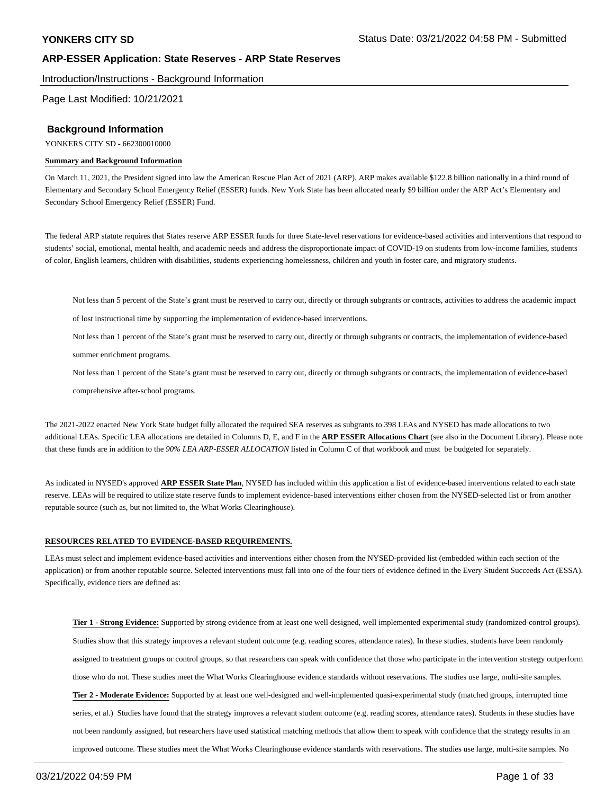Introduction/Instructions - Background Information

Page Last Modified: 10/21/2021

#### **Background Information**

YONKERS CITY SD - 662300010000

#### **Summary and Background Information**

On March 11, 2021, the President signed into law the American Rescue Plan Act of 2021 (ARP). ARP makes available \$122.8 billion nationally in a third round of Elementary and Secondary School Emergency Relief (ESSER) funds. New York State has been allocated nearly \$9 billion under the ARP Act's Elementary and Secondary School Emergency Relief (ESSER) Fund.

The federal ARP statute requires that States reserve ARP ESSER funds for three State-level reservations for evidence-based activities and interventions that respond to students' social, emotional, mental health, and academic needs and address the disproportionate impact of COVID-19 on students from low-income families, students of color, English learners, children with disabilities, students experiencing homelessness, children and youth in foster care, and migratory students.

Not less than 5 percent of the State's grant must be reserved to carry out, directly or through subgrants or contracts, activities to address the academic impact

of lost instructional time by supporting the implementation of evidence-based interventions.

Not less than 1 percent of the State's grant must be reserved to carry out, directly or through subgrants or contracts, the implementation of evidence-based

summer enrichment programs.

Not less than 1 percent of the State's grant must be reserved to carry out, directly or through subgrants or contracts, the implementation of evidence-based

comprehensive after-school programs.

The 2021-2022 enacted New York State budget fully allocated the required SEA reserves as subgrants to 398 LEAs and NYSED has made allocations to two additional LEAs. Specific LEA allocations are detailed in Columns D, E, and F in the **ARP ESSER Allocations Chart** (see also in the Document Library). Please note that these funds are in addition to the *90% LEA ARP-ESSER ALLOCATION* listed in Column C of that workbook and must be budgeted for separately.

As indicated in NYSED's approved **ARP ESSER State Plan**, NYSED has included within this application a list of evidence-based interventions related to each state reserve. LEAs will be required to utilize state reserve funds to implement evidence-based interventions either chosen from the NYSED-selected list or from another reputable source (such as, but not limited to, the What Works Clearinghouse).

#### **RESOURCES RELATED TO EVIDENCE-BASED REQUIREMENTS.**

LEAs must select and implement evidence-based activities and interventions either chosen from the NYSED-provided list (embedded within each section of the application) or from another reputable source. Selected interventions must fall into one of the four tiers of evidence defined in the Every Student Succeeds Act (ESSA). Specifically, evidence tiers are defined as:

**Tier 1 - Strong Evidence:** Supported by strong evidence from at least one well designed, well implemented experimental study (randomized-control groups). Studies show that this strategy improves a relevant student outcome (e.g. reading scores, attendance rates). In these studies, students have been randomly assigned to treatment groups or control groups, so that researchers can speak with confidence that those who participate in the intervention strategy outperform those who do not. These studies meet the What Works Clearinghouse evidence standards without reservations. The studies use large, multi-site samples. **Tier 2 - Moderate Evidence:** Supported by at least one well-designed and well-implemented quasi-experimental study (matched groups, interrupted time series, et al.) Studies have found that the strategy improves a relevant student outcome (e.g. reading scores, attendance rates). Students in these studies have not been randomly assigned, but researchers have used statistical matching methods that allow them to speak with confidence that the strategy results in an improved outcome. These studies meet the What Works Clearinghouse evidence standards with reservations. The studies use large, multi-site samples. No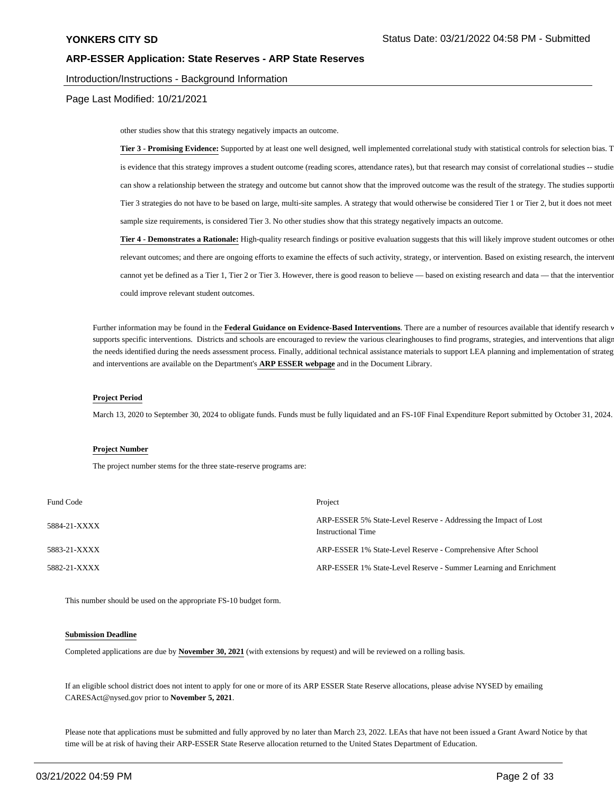#### Introduction/Instructions - Background Information

Page Last Modified: 10/21/2021

other studies show that this strategy negatively impacts an outcome.

Tier 3 - Promising Evidence: Supported by at least one well designed, well implemented correlational study with statistical controls for selection bias. T is evidence that this strategy improves a student outcome (reading scores, attendance rates), but that research may consist of correlational studies -- studie can show a relationship between the strategy and outcome but cannot show that the improved outcome was the result of the strategy. The studies supporti Tier 3 strategies do not have to be based on large, multi-site samples. A strategy that would otherwise be considered Tier 1 or Tier 2, but it does not meet sample size requirements, is considered Tier 3. No other studies show that this strategy negatively impacts an outcome.

**Tier 4 - Demonstrates a Rationale:** High-quality research findings or positive evaluation suggests that this will likely improve student outcomes or other relevant outcomes; and there are ongoing efforts to examine the effects of such activity, strategy, or intervention. Based on existing research, the intervent cannot yet be defined as a Tier 1, Tier 2 or Tier 3. However, there is good reason to believe — based on existing research and data — that the intervention could improve relevant student outcomes.

Further information may be found in the Federal Guidance on Evidence-Based Interventions. There are a number of resources available that identify research v supports specific interventions. Districts and schools are encouraged to review the various clearinghouses to find programs, strategies, and interventions that align the needs identified during the needs assessment process. Finally, additional technical assistance materials to support LEA planning and implementation of strateg and interventions are available on the Department's **ARP ESSER webpage** and in the Document Library.

#### **Project Period**

March 13, 2020 to September 30, 2024 to obligate funds. Funds must be fully liquidated and an FS-10F Final Expenditure Report submitted by October 31, 2024.

#### **Project Number**

The project number stems for the three state-reserve programs are:

| Fund Code    | Project                                                                                       |
|--------------|-----------------------------------------------------------------------------------------------|
| 5884-21-XXXX | ARP-ESSER 5% State-Level Reserve - Addressing the Impact of Lost<br><b>Instructional Time</b> |
| 5883-21-XXXX | ARP-ESSER 1% State-Level Reserve - Comprehensive After School                                 |
| 5882-21-XXXX | ARP-ESSER 1% State-Level Reserve - Summer Learning and Enrichment                             |

This number should be used on the appropriate FS-10 budget form.

#### **Submission Deadline**

Completed applications are due by **November 30, 2021** (with extensions by request) and will be reviewed on a rolling basis.

If an eligible school district does not intent to apply for one or more of its ARP ESSER State Reserve allocations, please advise NYSED by emailing CARESAct@nysed.gov prior to **November 5, 2021**.

Please note that applications must be submitted and fully approved by no later than March 23, 2022. LEAs that have not been issued a Grant Award Notice by that time will be at risk of having their ARP-ESSER State Reserve allocation returned to the United States Department of Education.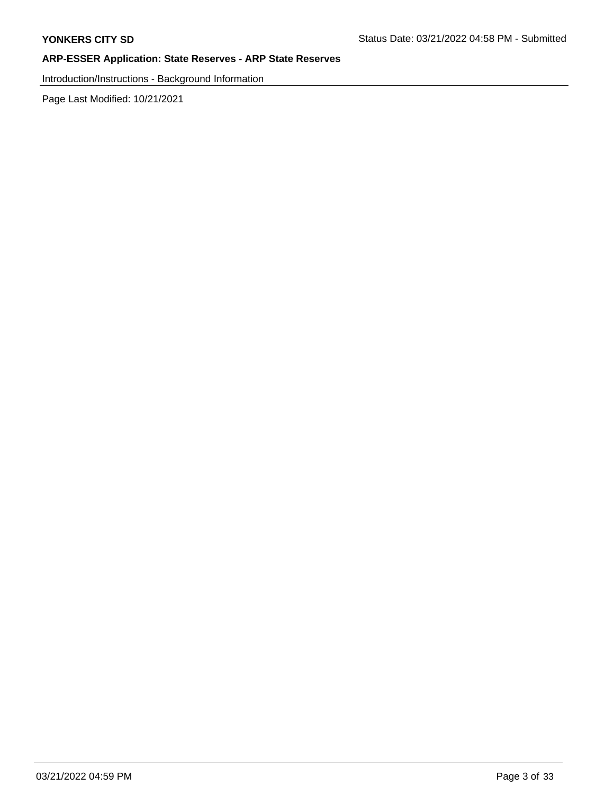Introduction/Instructions - Background Information

Page Last Modified: 10/21/2021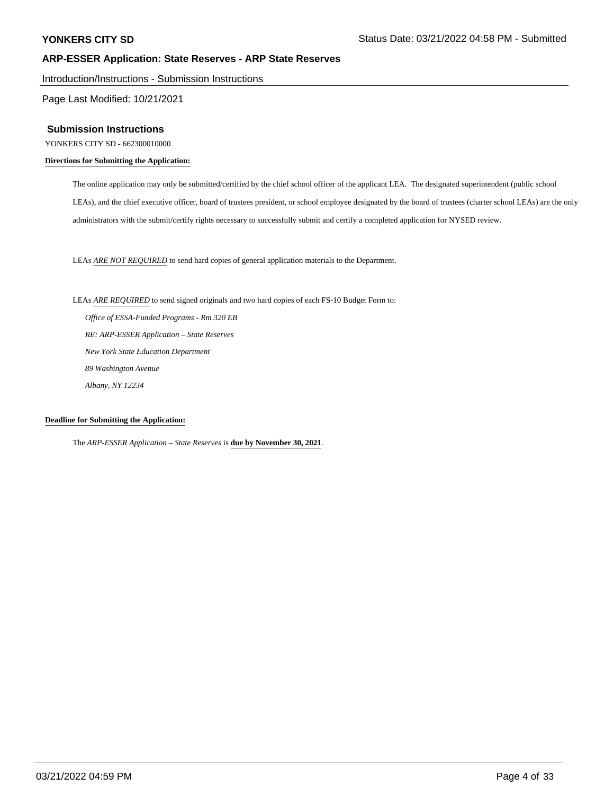Introduction/Instructions - Submission Instructions

Page Last Modified: 10/21/2021

#### **Submission Instructions**

YONKERS CITY SD - 662300010000

#### **Directions for Submitting the Application:**

The online application may only be submitted/certified by the chief school officer of the applicant LEA. The designated superintendent (public school LEAs), and the chief executive officer, board of trustees president, or school employee designated by the board of trustees (charter school LEAs) are the only administrators with the submit/certify rights necessary to successfully submit and certify a completed application for NYSED review.

LEAs *ARE NOT REQUIRED* to send hard copies of general application materials to the Department.

LEAs *ARE REQUIRED* to send signed originals and two hard copies of each FS-10 Budget Form to:

 *Office of ESSA-Funded Programs - Rm 320 EB RE: ARP-ESSER Application – State Reserves New York State Education Department 89 Washington Avenue Albany, NY 12234*

#### **Deadline for Submitting the Application:**

The *ARP-ESSER Application – State Reserves* is **due by November 30, 2021**.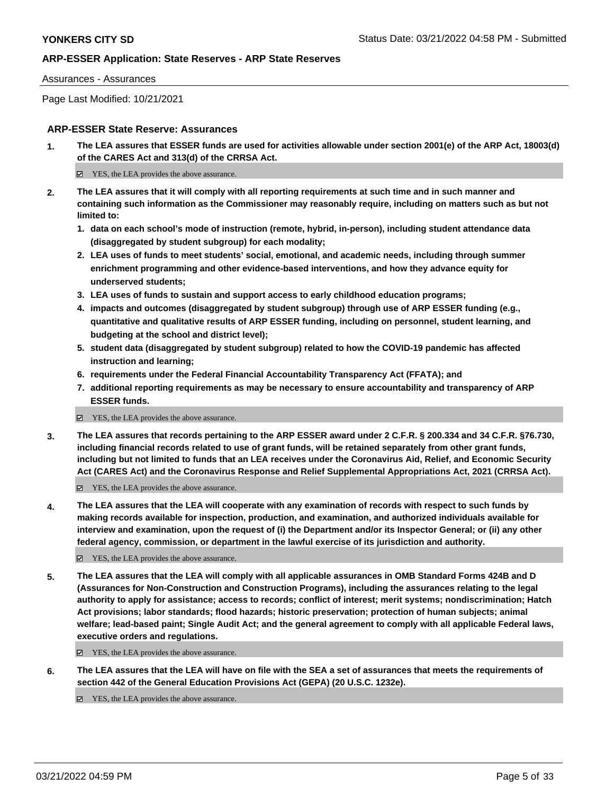#### Assurances - Assurances

Page Last Modified: 10/21/2021

## **ARP-ESSER State Reserve: Assurances**

**1. The LEA assures that ESSER funds are used for activities allowable under section 2001(e) of the ARP Act, 18003(d) of the CARES Act and 313(d) of the CRRSA Act.**

 $\Xi$  YES, the LEA provides the above assurance.

- **2. The LEA assures that it will comply with all reporting requirements at such time and in such manner and containing such information as the Commissioner may reasonably require, including on matters such as but not limited to:**
	- **1. data on each school's mode of instruction (remote, hybrid, in-person), including student attendance data (disaggregated by student subgroup) for each modality;**
	- **2. LEA uses of funds to meet students' social, emotional, and academic needs, including through summer enrichment programming and other evidence-based interventions, and how they advance equity for underserved students;**
	- **3. LEA uses of funds to sustain and support access to early childhood education programs;**
	- **4. impacts and outcomes (disaggregated by student subgroup) through use of ARP ESSER funding (e.g., quantitative and qualitative results of ARP ESSER funding, including on personnel, student learning, and budgeting at the school and district level);**
	- **5. student data (disaggregated by student subgroup) related to how the COVID-19 pandemic has affected instruction and learning;**
	- **6. requirements under the Federal Financial Accountability Transparency Act (FFATA); and**
	- **7. additional reporting requirements as may be necessary to ensure accountability and transparency of ARP ESSER funds.**
	- YES, the LEA provides the above assurance.
- **3. The LEA assures that records pertaining to the ARP ESSER award under 2 C.F.R. § 200.334 and 34 C.F.R. §76.730, including financial records related to use of grant funds, will be retained separately from other grant funds, including but not limited to funds that an LEA receives under the Coronavirus Aid, Relief, and Economic Security Act (CARES Act) and the Coronavirus Response and Relief Supplemental Appropriations Act, 2021 (CRRSA Act).**

YES, the LEA provides the above assurance.

**4. The LEA assures that the LEA will cooperate with any examination of records with respect to such funds by making records available for inspection, production, and examination, and authorized individuals available for interview and examination, upon the request of (i) the Department and/or its Inspector General; or (ii) any other federal agency, commission, or department in the lawful exercise of its jurisdiction and authority.**

YES, the LEA provides the above assurance.

**5. The LEA assures that the LEA will comply with all applicable assurances in OMB Standard Forms 424B and D (Assurances for Non-Construction and Construction Programs), including the assurances relating to the legal authority to apply for assistance; access to records; conflict of interest; merit systems; nondiscrimination; Hatch Act provisions; labor standards; flood hazards; historic preservation; protection of human subjects; animal welfare; lead-based paint; Single Audit Act; and the general agreement to comply with all applicable Federal laws, executive orders and regulations.**

■ YES, the LEA provides the above assurance.

**6. The LEA assures that the LEA will have on file with the SEA a set of assurances that meets the requirements of section 442 of the General Education Provisions Act (GEPA) (20 U.S.C. 1232e).**

 $\boxtimes$  YES, the LEA provides the above assurance.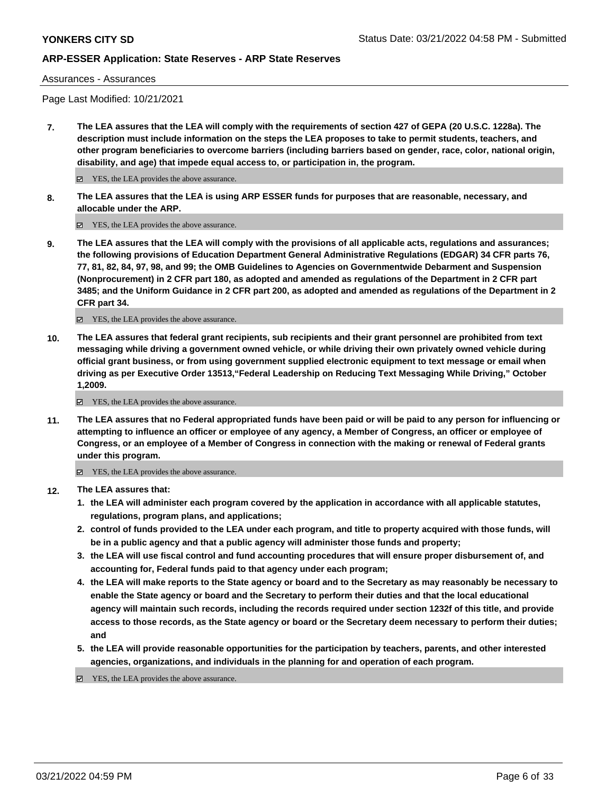Assurances - Assurances

Page Last Modified: 10/21/2021

**7. The LEA assures that the LEA will comply with the requirements of section 427 of GEPA (20 U.S.C. 1228a). The description must include information on the steps the LEA proposes to take to permit students, teachers, and other program beneficiaries to overcome barriers (including barriers based on gender, race, color, national origin, disability, and age) that impede equal access to, or participation in, the program.**

■ YES, the LEA provides the above assurance.

**8. The LEA assures that the LEA is using ARP ESSER funds for purposes that are reasonable, necessary, and allocable under the ARP.**

■ YES, the LEA provides the above assurance.

**9. The LEA assures that the LEA will comply with the provisions of all applicable acts, regulations and assurances; the following provisions of Education Department General Administrative Regulations (EDGAR) 34 CFR parts 76, 77, 81, 82, 84, 97, 98, and 99; the OMB Guidelines to Agencies on Governmentwide Debarment and Suspension (Nonprocurement) in 2 CFR part 180, as adopted and amended as regulations of the Department in 2 CFR part 3485; and the Uniform Guidance in 2 CFR part 200, as adopted and amended as regulations of the Department in 2 CFR part 34.**

YES, the LEA provides the above assurance.

**10. The LEA assures that federal grant recipients, sub recipients and their grant personnel are prohibited from text messaging while driving a government owned vehicle, or while driving their own privately owned vehicle during official grant business, or from using government supplied electronic equipment to text message or email when driving as per Executive Order 13513,"Federal Leadership on Reducing Text Messaging While Driving," October 1,2009.**

YES, the LEA provides the above assurance.

**11. The LEA assures that no Federal appropriated funds have been paid or will be paid to any person for influencing or attempting to influence an officer or employee of any agency, a Member of Congress, an officer or employee of Congress, or an employee of a Member of Congress in connection with the making or renewal of Federal grants under this program.**

YES, the LEA provides the above assurance.

- **12. The LEA assures that:**
	- **1. the LEA will administer each program covered by the application in accordance with all applicable statutes, regulations, program plans, and applications;**
	- **2. control of funds provided to the LEA under each program, and title to property acquired with those funds, will be in a public agency and that a public agency will administer those funds and property;**
	- **3. the LEA will use fiscal control and fund accounting procedures that will ensure proper disbursement of, and accounting for, Federal funds paid to that agency under each program;**
	- **4. the LEA will make reports to the State agency or board and to the Secretary as may reasonably be necessary to enable the State agency or board and the Secretary to perform their duties and that the local educational agency will maintain such records, including the records required under section 1232f of this title, and provide access to those records, as the State agency or board or the Secretary deem necessary to perform their duties; and**
	- **5. the LEA will provide reasonable opportunities for the participation by teachers, parents, and other interested agencies, organizations, and individuals in the planning for and operation of each program.**

YES, the LEA provides the above assurance.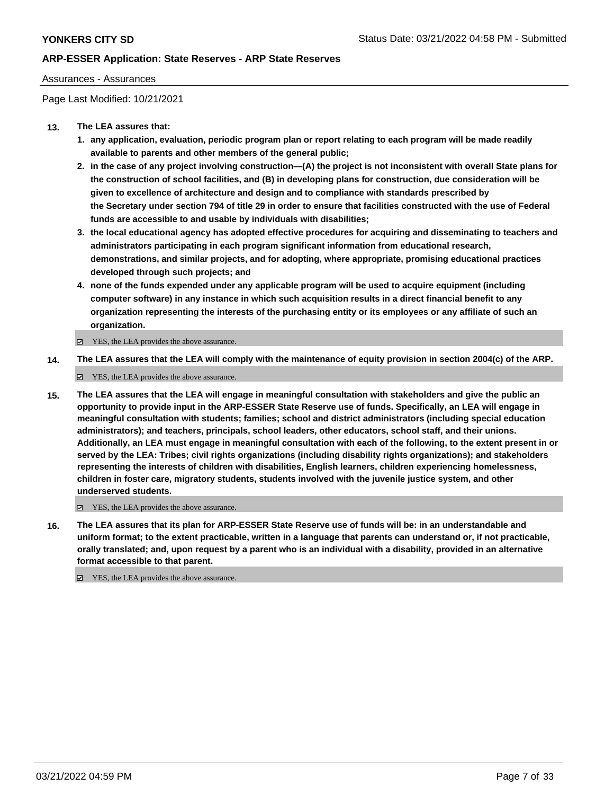#### Assurances - Assurances

Page Last Modified: 10/21/2021

### **13. The LEA assures that:**

- **1. any application, evaluation, periodic program plan or report relating to each program will be made readily available to parents and other members of the general public;**
- **2. in the case of any project involving construction—(A) the project is not inconsistent with overall State plans for the construction of school facilities, and (B) in developing plans for construction, due consideration will be given to excellence of architecture and design and to compliance with standards prescribed by the Secretary under section 794 of title 29 in order to ensure that facilities constructed with the use of Federal funds are accessible to and usable by individuals with disabilities;**
- **3. the local educational agency has adopted effective procedures for acquiring and disseminating to teachers and administrators participating in each program significant information from educational research, demonstrations, and similar projects, and for adopting, where appropriate, promising educational practices developed through such projects; and**
- **4. none of the funds expended under any applicable program will be used to acquire equipment (including computer software) in any instance in which such acquisition results in a direct financial benefit to any organization representing the interests of the purchasing entity or its employees or any affiliate of such an organization.**

YES, the LEA provides the above assurance.

**14. The LEA assures that the LEA will comply with the maintenance of equity provision in section 2004(c) of the ARP.**

YES, the LEA provides the above assurance.

**15. The LEA assures that the LEA will engage in meaningful consultation with stakeholders and give the public an opportunity to provide input in the ARP-ESSER State Reserve use of funds. Specifically, an LEA will engage in meaningful consultation with students; families; school and district administrators (including special education administrators); and teachers, principals, school leaders, other educators, school staff, and their unions. Additionally, an LEA must engage in meaningful consultation with each of the following, to the extent present in or served by the LEA: Tribes; civil rights organizations (including disability rights organizations); and stakeholders representing the interests of children with disabilities, English learners, children experiencing homelessness, children in foster care, migratory students, students involved with the juvenile justice system, and other underserved students.**

YES, the LEA provides the above assurance.

**16. The LEA assures that its plan for ARP-ESSER State Reserve use of funds will be: in an understandable and uniform format; to the extent practicable, written in a language that parents can understand or, if not practicable, orally translated; and, upon request by a parent who is an individual with a disability, provided in an alternative format accessible to that parent.**

YES, the LEA provides the above assurance.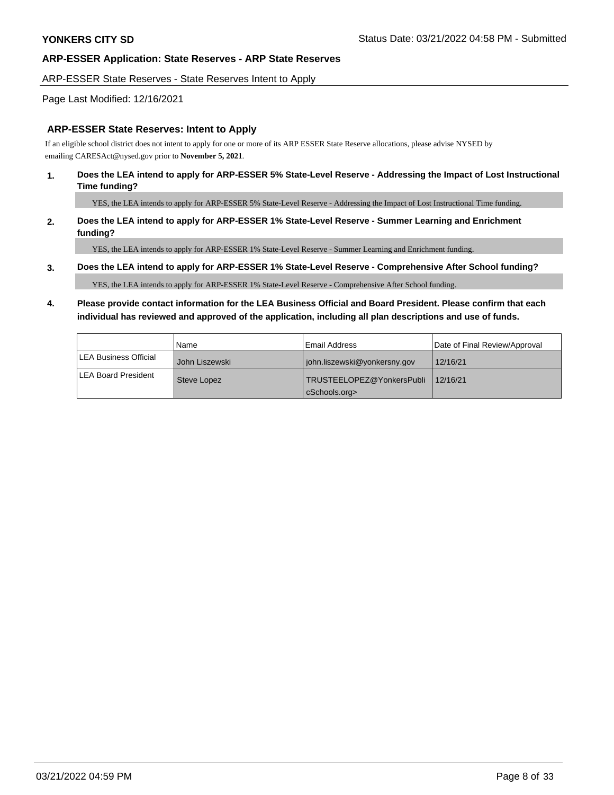#### ARP-ESSER State Reserves - State Reserves Intent to Apply

### Page Last Modified: 12/16/2021

#### **ARP-ESSER State Reserves: Intent to Apply**

If an eligible school district does not intent to apply for one or more of its ARP ESSER State Reserve allocations, please advise NYSED by emailing CARESAct@nysed.gov prior to **November 5, 2021**.

#### **1. Does the LEA intend to apply for ARP-ESSER 5% State-Level Reserve - Addressing the Impact of Lost Instructional Time funding?**

YES, the LEA intends to apply for ARP-ESSER 5% State-Level Reserve - Addressing the Impact of Lost Instructional Time funding.

### **2. Does the LEA intend to apply for ARP-ESSER 1% State-Level Reserve - Summer Learning and Enrichment funding?**

YES, the LEA intends to apply for ARP-ESSER 1% State-Level Reserve - Summer Learning and Enrichment funding.

#### **3. Does the LEA intend to apply for ARP-ESSER 1% State-Level Reserve - Comprehensive After School funding?**

YES, the LEA intends to apply for ARP-ESSER 1% State-Level Reserve - Comprehensive After School funding.

## **4. Please provide contact information for the LEA Business Official and Board President. Please confirm that each individual has reviewed and approved of the application, including all plan descriptions and use of funds.**

|                               | Name           | l Email Address              | Date of Final Review/Approval |
|-------------------------------|----------------|------------------------------|-------------------------------|
| <b>ILEA Business Official</b> | John Liszewski | john.liszewski@yonkersny.gov | 12/16/21                      |
| ILEA Board President          | Steve Lopez    | TRUSTEELOPEZ@YonkersPubli    | 12/16/21                      |
|                               |                | cSchools.org>                |                               |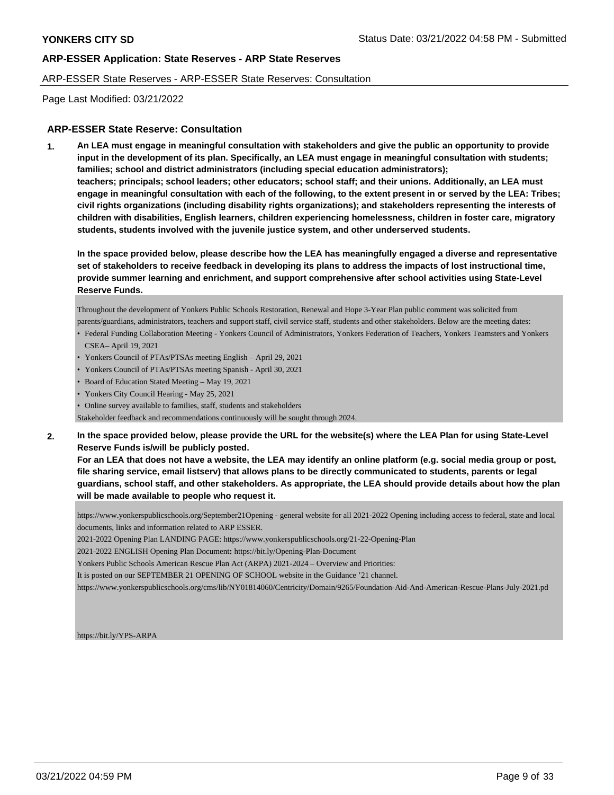#### ARP-ESSER State Reserves - ARP-ESSER State Reserves: Consultation

Page Last Modified: 03/21/2022

### **ARP-ESSER State Reserve: Consultation**

**1. An LEA must engage in meaningful consultation with stakeholders and give the public an opportunity to provide input in the development of its plan. Specifically, an LEA must engage in meaningful consultation with students; families; school and district administrators (including special education administrators); teachers; principals; school leaders; other educators; school staff; and their unions. Additionally, an LEA must engage in meaningful consultation with each of the following, to the extent present in or served by the LEA: Tribes; civil rights organizations (including disability rights organizations); and stakeholders representing the interests of children with disabilities, English learners, children experiencing homelessness, children in foster care, migratory students, students involved with the juvenile justice system, and other underserved students.**

**In the space provided below, please describe how the LEA has meaningfully engaged a diverse and representative set of stakeholders to receive feedback in developing its plans to address the impacts of lost instructional time, provide summer learning and enrichment, and support comprehensive after school activities using State-Level Reserve Funds.**

Throughout the development of Yonkers Public Schools Restoration, Renewal and Hope 3-Year Plan public comment was solicited from parents/guardians, administrators, teachers and support staff, civil service staff, students and other stakeholders. Below are the meeting dates:

- Federal Funding Collaboration Meeting Yonkers Council of Administrators, Yonkers Federation of Teachers, Yonkers Teamsters and Yonkers CSEA– April 19, 2021
- Yonkers Council of PTAs/PTSAs meeting English April 29, 2021
- Yonkers Council of PTAs/PTSAs meeting Spanish April 30, 2021
- Board of Education Stated Meeting May 19, 2021
- Yonkers City Council Hearing May 25, 2021
- Online survey available to families, staff, students and stakeholders

Stakeholder feedback and recommendations continuously will be sought through 2024.

**2. In the space provided below, please provide the URL for the website(s) where the LEA Plan for using State-Level Reserve Funds is/will be publicly posted.** 

**For an LEA that does not have a website, the LEA may identify an online platform (e.g. social media group or post, file sharing service, email listserv) that allows plans to be directly communicated to students, parents or legal guardians, school staff, and other stakeholders. As appropriate, the LEA should provide details about how the plan will be made available to people who request it.**

https://www.yonkerspublicschools.org/September21Opening - general website for all 2021-2022 Opening including access to federal, state and local documents, links and information related to ARP ESSER.

2021-2022 Opening Plan LANDING PAGE: https://www.yonkerspublicschools.org/21-22-Opening-Plan

2021-2022 ENGLISH Opening Plan Document**:** https://bit.ly/Opening-Plan-Document

Yonkers Public Schools American Rescue Plan Act (ARPA) 2021-2024 – Overview and Priorities:

It is posted on our SEPTEMBER 21 OPENING OF SCHOOL website in the Guidance '21 channel.

https://www.yonkerspublicschools.org/cms/lib/NY01814060/Centricity/Domain/9265/Foundation-Aid-And-American-Rescue-Plans-July-2021.pd

https://bit.ly/YPS-ARPA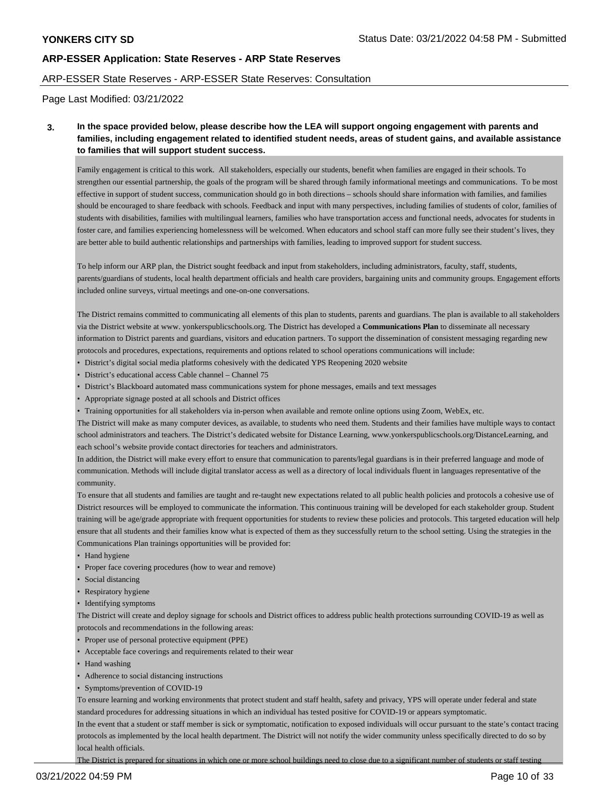#### ARP-ESSER State Reserves - ARP-ESSER State Reserves: Consultation

Page Last Modified: 03/21/2022

**3. In the space provided below, please describe how the LEA will support ongoing engagement with parents and families, including engagement related to identified student needs, areas of student gains, and available assistance to families that will support student success.**

Family engagement is critical to this work. All stakeholders, especially our students, benefit when families are engaged in their schools. To strengthen our essential partnership, the goals of the program will be shared through family informational meetings and communications. To be most effective in support of student success, communication should go in both directions – schools should share information with families, and families should be encouraged to share feedback with schools. Feedback and input with many perspectives, including families of students of color, families of students with disabilities, families with multilingual learners, families who have transportation access and functional needs, advocates for students in foster care, and families experiencing homelessness will be welcomed. When educators and school staff can more fully see their student's lives, they are better able to build authentic relationships and partnerships with families, leading to improved support for student success.

To help inform our ARP plan, the District sought feedback and input from stakeholders, including administrators, faculty, staff, students, parents/guardians of students, local health department officials and health care providers, bargaining units and community groups. Engagement efforts included online surveys, virtual meetings and one-on-one conversations.

The District remains committed to communicating all elements of this plan to students, parents and guardians. The plan is available to all stakeholders via the District website at www. yonkerspublicschools.org. The District has developed a **Communications Plan** to disseminate all necessary information to District parents and guardians, visitors and education partners. To support the dissemination of consistent messaging regarding new protocols and procedures, expectations, requirements and options related to school operations communications will include:

- District's digital social media platforms cohesively with the dedicated YPS Reopening 2020 website
- District's educational access Cable channel Channel 75
- District's Blackboard automated mass communications system for phone messages, emails and text messages
- Appropriate signage posted at all schools and District offices
- Training opportunities for all stakeholders via in-person when available and remote online options using Zoom, WebEx, etc.

The District will make as many computer devices, as available, to students who need them. Students and their families have multiple ways to contact school administrators and teachers. The District's dedicated website for Distance Learning, www.yonkerspublicschools.org/DistanceLearning, and each school's website provide contact directories for teachers and administrators.

In addition, the District will make every effort to ensure that communication to parents/legal guardians is in their preferred language and mode of communication. Methods will include digital translator access as well as a directory of local individuals fluent in languages representative of the community.

To ensure that all students and families are taught and re-taught new expectations related to all public health policies and protocols a cohesive use of District resources will be employed to communicate the information. This continuous training will be developed for each stakeholder group. Student training will be age/grade appropriate with frequent opportunities for students to review these policies and protocols. This targeted education will help ensure that all students and their families know what is expected of them as they successfully return to the school setting. Using the strategies in the Communications Plan trainings opportunities will be provided for:

- Hand hygiene
- Proper face covering procedures (how to wear and remove)
- Social distancing
- Respiratory hygiene
- Identifying symptoms

The District will create and deploy signage for schools and District offices to address public health protections surrounding COVID-19 as well as protocols and recommendations in the following areas:

- Proper use of personal protective equipment (PPE)
- Acceptable face coverings and requirements related to their wear
- Hand washing
- Adherence to social distancing instructions
- Symptoms/prevention of COVID-19

To ensure learning and working environments that protect student and staff health, safety and privacy, YPS will operate under federal and state standard procedures for addressing situations in which an individual has tested positive for COVID-19 or appears symptomatic.

In the event that a student or staff member is sick or symptomatic, notification to exposed individuals will occur pursuant to the state's contact tracing protocols as implemented by the local health department. The District will not notify the wider community unless specifically directed to do so by local health officials.

The District is prepared for situations in which one or more school buildings need to close due to a significant number of students or staff testing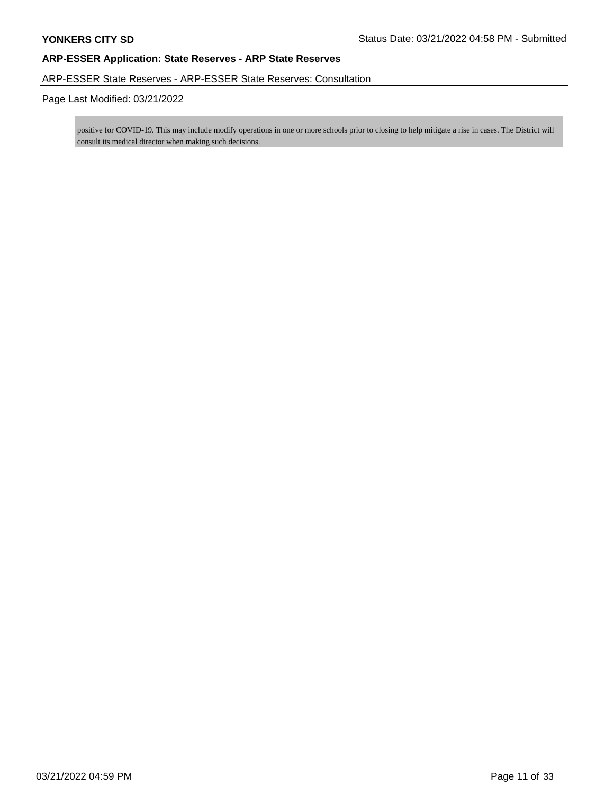## ARP-ESSER State Reserves - ARP-ESSER State Reserves: Consultation

## Page Last Modified: 03/21/2022

positive for COVID-19. This may include modify operations in one or more schools prior to closing to help mitigate a rise in cases. The District will consult its medical director when making such decisions.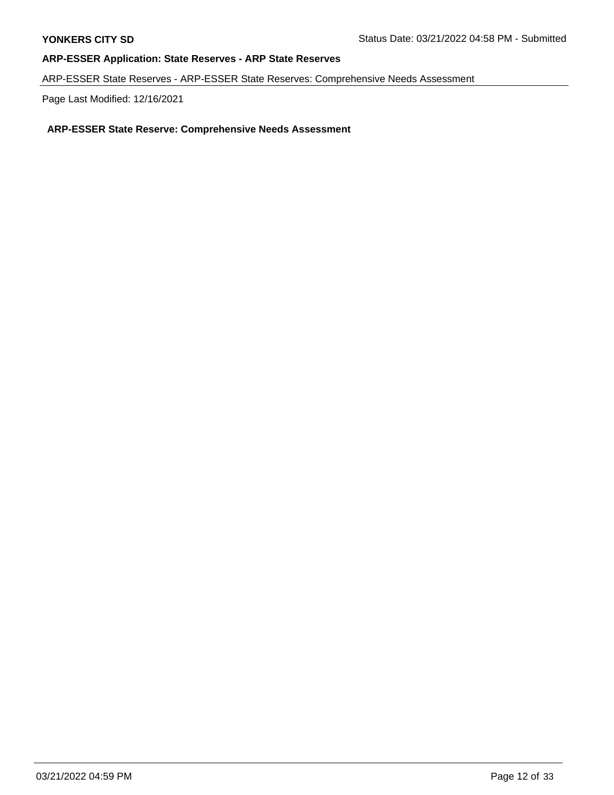ARP-ESSER State Reserves - ARP-ESSER State Reserves: Comprehensive Needs Assessment

Page Last Modified: 12/16/2021

## **ARP-ESSER State Reserve: Comprehensive Needs Assessment**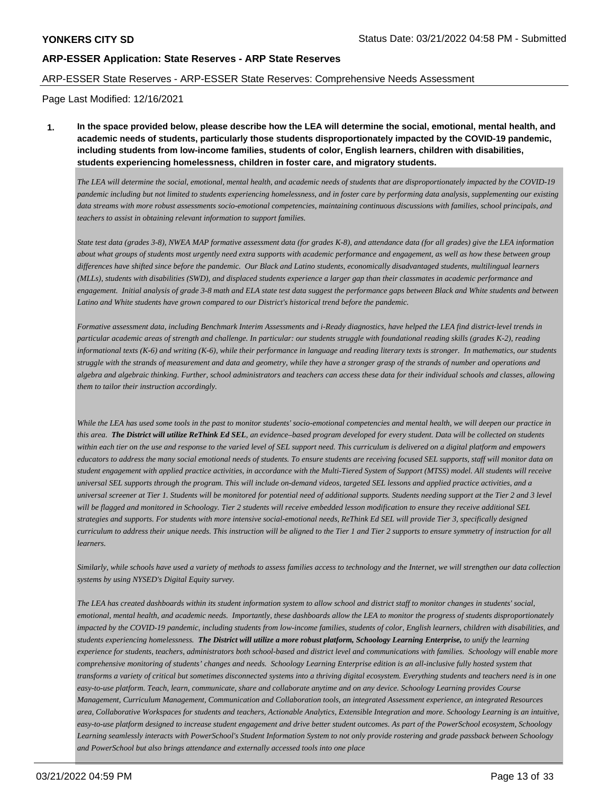#### ARP-ESSER State Reserves - ARP-ESSER State Reserves: Comprehensive Needs Assessment

Page Last Modified: 12/16/2021

**1. In the space provided below, please describe how the LEA will determine the social, emotional, mental health, and academic needs of students, particularly those students disproportionately impacted by the COVID-19 pandemic, including students from low-income families, students of color, English learners, children with disabilities, students experiencing homelessness, children in foster care, and migratory students.** 

*The LEA will determine the social, emotional, mental health, and academic needs of students that are disproportionately impacted by the COVID-19 pandemic including but not limited to students experiencing homelessness, and in foster care by performing data analysis, supplementing our existing data streams with more robust assessments socio-emotional competencies, maintaining continuous discussions with families, school principals, and teachers to assist in obtaining relevant information to support families.*

*State test data (grades 3-8), NWEA MAP formative assessment data (for grades K-8), and attendance data (for all grades) give the LEA information about what groups of students most urgently need extra supports with academic performance and engagement, as well as how these between group differences have shifted since before the pandemic. Our Black and Latino students, economically disadvantaged students, multilingual learners (MLLs), students with disabilities (SWD), and displaced students experience a larger gap than their classmates in academic performance and engagement. Initial analysis of grade 3-8 math and ELA state test data suggest the performance gaps between Black and White students and between Latino and White students have grown compared to our District's historical trend before the pandemic.*

*Formative assessment data, including Benchmark Interim Assessments and i-Ready diagnostics, have helped the LEA find district-level trends in particular academic areas of strength and challenge. In particular: our students struggle with foundational reading skills (grades K-2), reading informational texts (K-6) and writing (K-6), while their performance in language and reading literary texts is stronger. In mathematics, our students struggle with the strands of measurement and data and geometry, while they have a stronger grasp of the strands of number and operations and algebra and algebraic thinking. Further, school administrators and teachers can access these data for their individual schools and classes, allowing them to tailor their instruction accordingly.*

*While the LEA has used some tools in the past to monitor students' socio-emotional competencies and mental health, we will deepen our practice in this area. The District will utilize ReThink Ed SEL, an evidence–based program developed for every student. Data will be collected on students within each tier on the use and response to the varied level of SEL support need. This curriculum is delivered on a digital platform and empowers educators to address the many social emotional needs of students. To ensure students are receiving focused SEL supports, staff will monitor data on student engagement with applied practice activities, in accordance with the Multi-Tiered System of Support (MTSS) model. All students will receive universal SEL supports through the program. This will include on-demand videos, targeted SEL lessons and applied practice activities, and a universal screener at Tier 1. Students will be monitored for potential need of additional supports. Students needing support at the Tier 2 and 3 level will be flagged and monitored in Schoology. Tier 2 students will receive embedded lesson modification to ensure they receive additional SEL strategies and supports. For students with more intensive social-emotional needs, ReThink Ed SEL will provide Tier 3, specifically designed curriculum to address their unique needs. This instruction will be aligned to the Tier 1 and Tier 2 supports to ensure symmetry of instruction for all learners.*

*Similarly, while schools have used a variety of methods to assess families access to technology and the Internet, we will strengthen our data collection systems by using NYSED's Digital Equity survey.*

*The LEA has created dashboards within its student information system to allow school and district staff to monitor changes in students' social, emotional, mental health, and academic needs. Importantly, these dashboards allow the LEA to monitor the progress of students disproportionately impacted by the COVID-19 pandemic, including students from low-income families, students of color, English learners, children with disabilities, and students experiencing homelessness. The District will utilize a more robust platform, Schoology Learning Enterprise, to unify the learning experience for students, teachers, administrators both school-based and district level and communications with families. Schoology will enable more comprehensive monitoring of students' changes and needs. Schoology Learning Enterprise edition is an all-inclusive fully hosted system that transforms a variety of critical but sometimes disconnected systems into a thriving digital ecosystem. Everything students and teachers need is in one easy-to-use platform. Teach, learn, communicate, share and collaborate anytime and on any device. Schoology Learning provides Course Management, Curriculum Management, Communication and Collaboration tools, an integrated Assessment experience, an integrated Resources area, Collaborative Workspaces for students and teachers, Actionable Analytics, Extensible Integration and more. Schoology Learning is an intuitive, easy-to-use platform designed to increase student engagement and drive better student outcomes. As part of the PowerSchool ecosystem, Schoology Learning seamlessly interacts with PowerSchool's Student Information System to not only provide rostering and grade passback between Schoology and PowerSchool but also brings attendance and externally accessed tools into one place*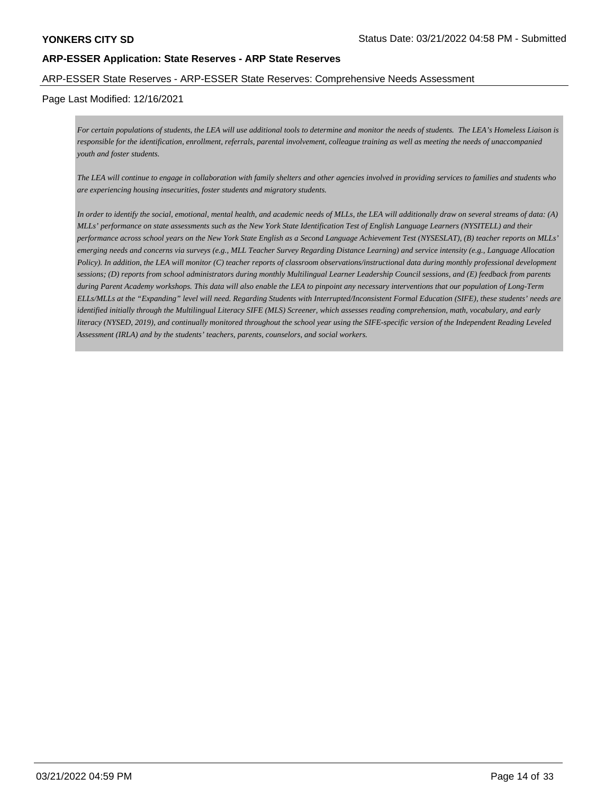#### ARP-ESSER State Reserves - ARP-ESSER State Reserves: Comprehensive Needs Assessment

### Page Last Modified: 12/16/2021

*For certain populations of students, the LEA will use additional tools to determine and monitor the needs of students. The LEA's Homeless Liaison is responsible for the identification, enrollment, referrals, parental involvement, colleague training as well as meeting the needs of unaccompanied youth and foster students.*

*The LEA will continue to engage in collaboration with family shelters and other agencies involved in providing services to families and students who are experiencing housing insecurities, foster students and migratory students.*

*In order to identify the social, emotional, mental health, and academic needs of MLLs, the LEA will additionally draw on several streams of data: (A) MLLs' performance on state assessments such as the New York State Identification Test of English Language Learners (NYSITELL) and their performance across school years on the New York State English as a Second Language Achievement Test (NYSESLAT), (B) teacher reports on MLLs' emerging needs and concerns via surveys (e.g., MLL Teacher Survey Regarding Distance Learning) and service intensity (e.g., Language Allocation Policy). In addition, the LEA will monitor (C) teacher reports of classroom observations/instructional data during monthly professional development sessions; (D) reports from school administrators during monthly Multilingual Learner Leadership Council sessions, and (E) feedback from parents during Parent Academy workshops. This data will also enable the LEA to pinpoint any necessary interventions that our population of Long-Term ELLs/MLLs at the "Expanding" level will need. Regarding Students with Interrupted/Inconsistent Formal Education (SIFE), these students' needs are identified initially through the Multilingual Literacy SIFE (MLS) Screener, which assesses reading comprehension, math, vocabulary, and early literacy (NYSED, 2019), and continually monitored throughout the school year using the SIFE-specific version of the Independent Reading Leveled Assessment (IRLA) and by the students' teachers, parents, counselors, and social workers.*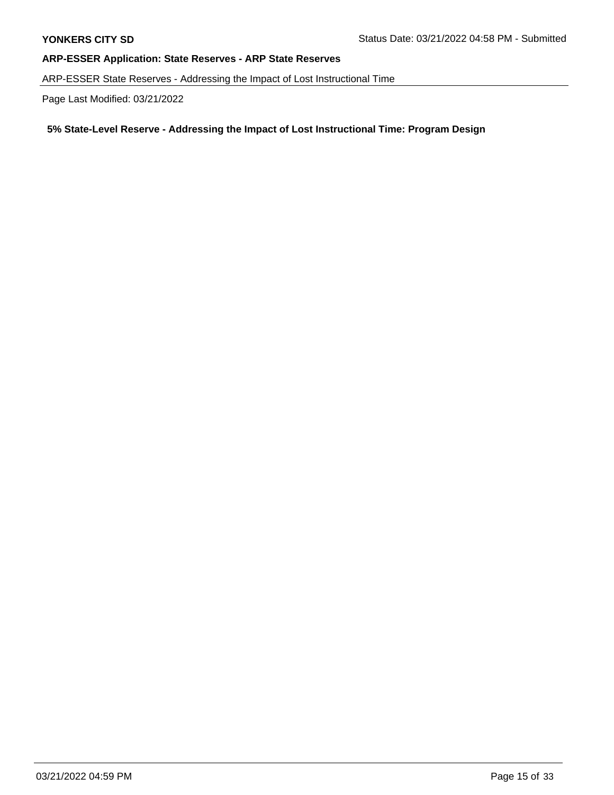ARP-ESSER State Reserves - Addressing the Impact of Lost Instructional Time

Page Last Modified: 03/21/2022

# **5% State-Level Reserve - Addressing the Impact of Lost Instructional Time: Program Design**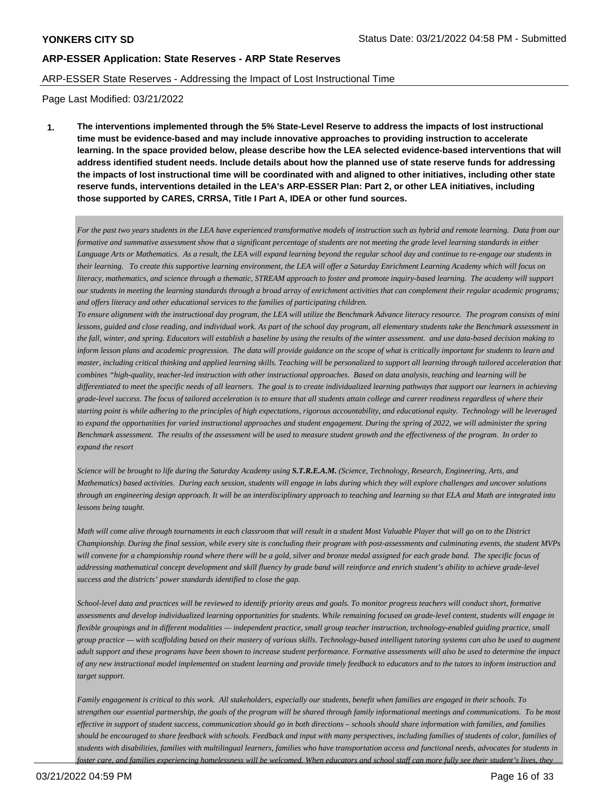#### ARP-ESSER State Reserves - Addressing the Impact of Lost Instructional Time

Page Last Modified: 03/21/2022

**1. The interventions implemented through the 5% State-Level Reserve to address the impacts of lost instructional time must be evidence-based and may include innovative approaches to providing instruction to accelerate learning. In the space provided below, please describe how the LEA selected evidence-based interventions that will address identified student needs. Include details about how the planned use of state reserve funds for addressing the impacts of lost instructional time will be coordinated with and aligned to other initiatives, including other state reserve funds, interventions detailed in the LEA's ARP-ESSER Plan: Part 2, or other LEA initiatives, including those supported by CARES, CRRSA, Title I Part A, IDEA or other fund sources.**

*For the past two years students in the LEA have experienced transformative models of instruction such as hybrid and remote learning. Data from our formative and summative assessment show that a significant percentage of students are not meeting the grade level learning standards in either Language Arts or Mathematics. As a result, the LEA will expand learning beyond the regular school day and continue to re-engage our students in their learning. To create this supportive learning environment, the LEA will offer a Saturday Enrichment Learning Academy which will focus on literacy, mathematics, and science through a thematic, STREAM approach to foster and promote inquiry-based learning. The academy will support our students in meeting the learning standards through a broad array of enrichment activities that can complement their regular academic programs; and offers literacy and other educational services to the families of participating children.*

*To ensure alignment with the instructional day program, the LEA will utilize the Benchmark Advance literacy resource. The program consists of mini lessons, guided and close reading, and individual work. As part of the school day program, all elementary students take the Benchmark assessment in the fall, winter, and spring. Educators will establish a baseline by using the results of the winter assessment. and use data-based decision making to inform lesson plans and academic progression. The data will provide guidance on the scope of what is critically important for students to learn and master, including critical thinking and applied learning skills. Teaching will be personalized to support all learning through tailored acceleration that combines "high-quality, teacher-led instruction with other instructional approaches. Based on data analysis, teaching and learning will be differentiated to meet the specific needs of all learners. The goal is to create individualized learning pathways that support our learners in achieving grade-level success. The focus of tailored acceleration is to ensure that all students attain college and career readiness regardless of where their starting point is while adhering to the principles of high expectations, rigorous accountability, and educational equity. Technology will be leveraged to expand the opportunities for varied instructional approaches and student engagement. During the spring of 2022, we will administer the spring Benchmark assessment. The results of the assessment will be used to measure student growth and the effectiveness of the program. In order to expand the resort*

*Science will be brought to life during the Saturday Academy using S.T.R.E.A.M. (Science, Technology, Research, Engineering, Arts, and Mathematics) based activities. During each session, students will engage in labs during which they will explore challenges and uncover solutions through an engineering design approach. It will be an interdisciplinary approach to teaching and learning so that ELA and Math are integrated into lessons being taught.*

*Math will come alive through tournaments in each classroom that will result in a student Most Valuable Player that will go on to the District Championship. During the final session, while every site is concluding their program with post-assessments and culminating events, the student MVPs will convene for a championship round where there will be a gold, silver and bronze medal assigned for each grade band. The specific focus of addressing mathematical concept development and skill fluency by grade band will reinforce and enrich student's ability to achieve grade-level success and the districts' power standards identified to close the gap.*

*School-level data and practices will be reviewed to identify priority areas and goals. To monitor progress teachers will conduct short, formative assessments and develop individualized learning opportunities for students. While remaining focused on grade-level content, students will engage in flexible groupings and in different modalities — independent practice, small group teacher instruction, technology-enabled guiding practice, small group practice — with scaffolding based on their mastery of various skills. Technology-based intelligent tutoring systems can also be used to augment adult support and these programs have been shown to increase student performance. Formative assessments will also be used to determine the impact of any new instructional model implemented on student learning and provide timely feedback to educators and to the tutors to inform instruction and target support.*

*Family engagement is critical to this work. All stakeholders, especially our students, benefit when families are engaged in their schools. To strengthen our essential partnership, the goals of the program will be shared through family informational meetings and communications. To be most effective in support of student success, communication should go in both directions – schools should share information with families, and families should be encouraged to share feedback with schools. Feedback and input with many perspectives, including families of students of color, families of students with disabilities, families with multilingual learners, families who have transportation access and functional needs, advocates for students in foster care, and families experiencing homelessness will be welcomed. When educators and school staff can more fully see their student's lives, they*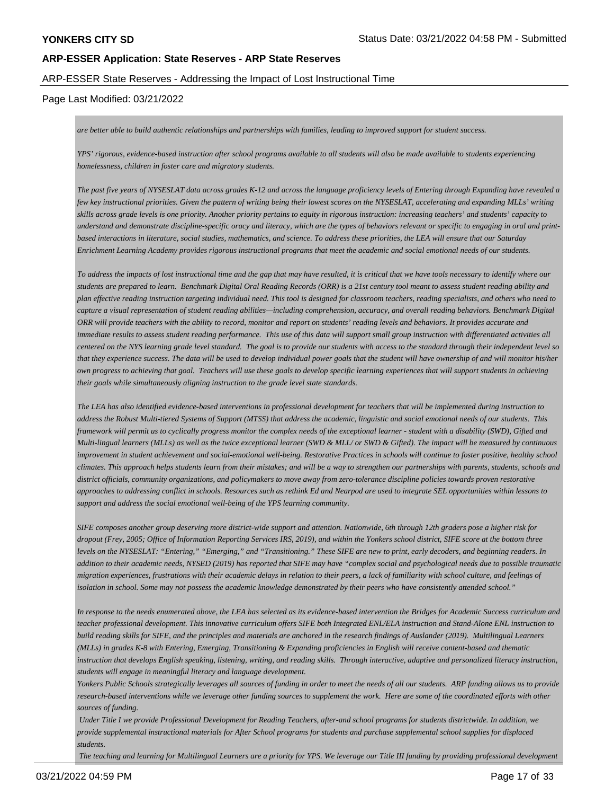### ARP-ESSER State Reserves - Addressing the Impact of Lost Instructional Time

### Page Last Modified: 03/21/2022

*are better able to build authentic relationships and partnerships with families, leading to improved support for student success.*

*YPS' rigorous, evidence-based instruction after school programs available to all students will also be made available to students experiencing homelessness, children in foster care and migratory students.*

*The past five years of NYSESLAT data across grades K-12 and across the language proficiency levels of Entering through Expanding have revealed a few key instructional priorities. Given the pattern of writing being their lowest scores on the NYSESLAT, accelerating and expanding MLLs' writing skills across grade levels is one priority. Another priority pertains to equity in rigorous instruction: increasing teachers' and students' capacity to understand and demonstrate discipline-specific oracy and literacy, which are the types of behaviors relevant or specific to engaging in oral and printbased interactions in literature, social studies, mathematics, and science. To address these priorities, the LEA will ensure that our Saturday Enrichment Learning Academy provides rigorous instructional programs that meet the academic and social emotional needs of our students.*

*To address the impacts of lost instructional time and the gap that may have resulted, it is critical that we have tools necessary to identify where our students are prepared to learn. Benchmark Digital Oral Reading Records (ORR) is a 21st century tool meant to assess student reading ability and plan effective reading instruction targeting individual need. This tool is designed for classroom teachers, reading specialists, and others who need to capture a visual representation of student reading abilities—including comprehension, accuracy, and overall reading behaviors. Benchmark Digital ORR will provide teachers with the ability to record, monitor and report on students' reading levels and behaviors. It provides accurate and immediate results to assess student reading performance. This use of this data will support small group instruction with differentiated activities all centered on the NYS learning grade level standard. The goal is to provide our students with access to the standard through their independent level so that they experience success. The data will be used to develop individual power goals that the student will have ownership of and will monitor his/her own progress to achieving that goal. Teachers will use these goals to develop specific learning experiences that will support students in achieving their goals while simultaneously aligning instruction to the grade level state standards.*

*The LEA has also identified evidence-based interventions in professional development for teachers that will be implemented during instruction to address the Robust Multi-tiered Systems of Support (MTSS) that address the academic, linguistic and social emotional needs of our students. This framework will permit us to cyclically progress monitor the complex needs of the exceptional learner - student with a disability (SWD), Gifted and Multi-lingual learners (MLLs) as well as the twice exceptional learner (SWD & MLL/ or SWD & Gifted). The impact will be measured by continuous improvement in student achievement and social-emotional well-being. Restorative Practices in schools will continue to foster positive, healthy school climates. This approach helps students learn from their mistakes; and will be a way to strengthen our partnerships with parents, students, schools and district officials, community organizations, and policymakers to move away from zero-tolerance discipline policies towards proven restorative approaches to addressing conflict in schools. Resources such as rethink Ed and Nearpod are used to integrate SEL opportunities within lessons to support and address the social emotional well-being of the YPS learning community.*

*SIFE composes another group deserving more district-wide support and attention. Nationwide, 6th through 12th graders pose a higher risk for dropout (Frey, 2005; Office of Information Reporting Services IRS, 2019), and within the Yonkers school district, SIFE score at the bottom three levels on the NYSESLAT: "Entering," "Emerging," and "Transitioning." These SIFE are new to print, early decoders, and beginning readers. In addition to their academic needs, NYSED (2019) has reported that SIFE may have "complex social and psychological needs due to possible traumatic migration experiences, frustrations with their academic delays in relation to their peers, a lack of familiarity with school culture, and feelings of isolation in school. Some may not possess the academic knowledge demonstrated by their peers who have consistently attended school."*

*In response to the needs enumerated above, the LEA has selected as its evidence-based intervention the Bridges for Academic Success curriculum and teacher professional development. This innovative curriculum offers SIFE both Integrated ENL/ELA instruction and Stand-Alone ENL instruction to build reading skills for SIFE, and the principles and materials are anchored in the research findings of Auslander (2019). Multilingual Learners (MLLs) in grades K-8 with Entering, Emerging, Transitioning & Expanding proficiencies in English will receive content-based and thematic instruction that develops English speaking, listening, writing, and reading skills. Through interactive, adaptive and personalized literacy instruction, students will engage in meaningful literacy and language development.*

*Yonkers Public Schools strategically leverages all sources of funding in order to meet the needs of all our students. ARP funding allows us to provide research-based interventions while we leverage other funding sources to supplement the work. Here are some of the coordinated efforts with other sources of funding.* 

 *Under Title I we provide Professional Development for Reading Teachers, after-and school programs for students districtwide. In addition, we provide supplemental instructional materials for After School programs for students and purchase supplemental school supplies for displaced students.* 

 *The teaching and learning for Multilingual Learners are a priority for YPS. We leverage our Title III funding by providing professional development*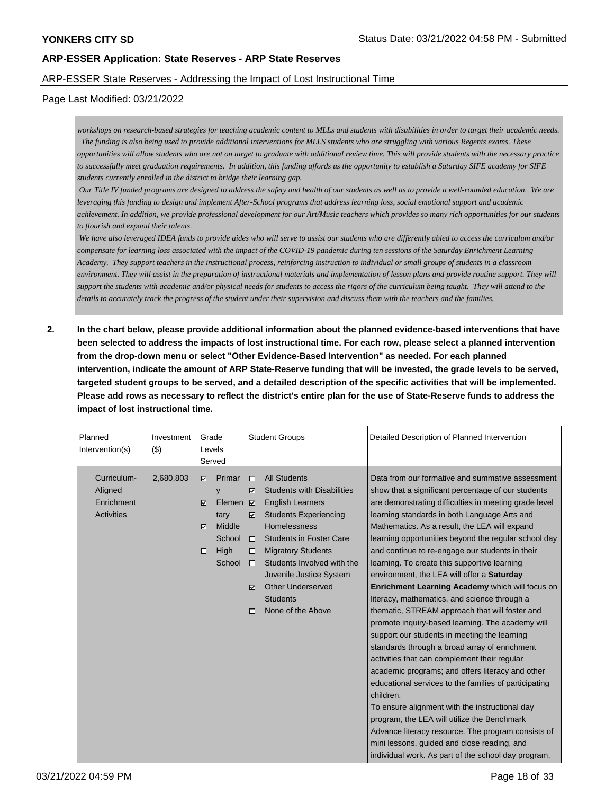## ARP-ESSER State Reserves - Addressing the Impact of Lost Instructional Time

### Page Last Modified: 03/21/2022

*workshops on research-based strategies for teaching academic content to MLLs and students with disabilities in order to target their academic needs. The funding is also being used to provide additional interventions for MLLS students who are struggling with various Regents exams. These opportunities will allow students who are not on target to graduate with additional review time. This will provide students with the necessary practice to successfully meet graduation requirements. In addition, this funding affords us the opportunity to establish a Saturday SIFE academy for SIFE students currently enrolled in the district to bridge their learning gap.*

 *Our Title IV funded programs are designed to address the safety and health of our students as well as to provide a well-rounded education. We are leveraging this funding to design and implement After-School programs that address learning loss, social emotional support and academic achievement. In addition, we provide professional development for our Art/Music teachers which provides so many rich opportunities for our students to flourish and expand their talents.* 

 *We have also leveraged IDEA funds to provide aides who will serve to assist our students who are differently abled to access the curriculum and/or compensate for learning loss associated with the impact of the COVID-19 pandemic during ten sessions of the Saturday Enrichment Learning Academy. They support teachers in the instructional process, reinforcing instruction to individual or small groups of students in a classroom environment. They will assist in the preparation of instructional materials and implementation of lesson plans and provide routine support. They will support the students with academic and/or physical needs for students to access the rigors of the curriculum being taught. They will attend to the details to accurately track the progress of the student under their supervision and discuss them with the teachers and the families.*

**2. In the chart below, please provide additional information about the planned evidence-based interventions that have been selected to address the impacts of lost instructional time. For each row, please select a planned intervention from the drop-down menu or select "Other Evidence-Based Intervention" as needed. For each planned intervention, indicate the amount of ARP State-Reserve funding that will be invested, the grade levels to be served, targeted student groups to be served, and a detailed description of the specific activities that will be implemented. Please add rows as necessary to reflect the district's entire plan for the use of State-Reserve funds to address the impact of lost instructional time.**

| Planned<br>Intervention(s)                                | Investment<br>(3) | Grade<br>Levels<br>Served           |                                                                     | <b>Student Groups</b>                                     |                                                                                                                                                                                                                                                                                                                                        | Detailed Description of Planned Intervention                                                                                                                                                                                                                                                                                                                                                                                                                                                                                                                                                                                                                                                                                                                                                                                                                                                                                                                                                                                                                                                                                                                                                                               |
|-----------------------------------------------------------|-------------------|-------------------------------------|---------------------------------------------------------------------|-----------------------------------------------------------|----------------------------------------------------------------------------------------------------------------------------------------------------------------------------------------------------------------------------------------------------------------------------------------------------------------------------------------|----------------------------------------------------------------------------------------------------------------------------------------------------------------------------------------------------------------------------------------------------------------------------------------------------------------------------------------------------------------------------------------------------------------------------------------------------------------------------------------------------------------------------------------------------------------------------------------------------------------------------------------------------------------------------------------------------------------------------------------------------------------------------------------------------------------------------------------------------------------------------------------------------------------------------------------------------------------------------------------------------------------------------------------------------------------------------------------------------------------------------------------------------------------------------------------------------------------------------|
| Curriculum-<br>Aligned<br>Enrichment<br><b>Activities</b> | 2,680,803         | ☑<br>☑<br>$\triangledown$<br>$\Box$ | Primar<br>y<br>Elemen<br>tary<br>Middle<br>School<br>High<br>School | $\Box$<br>☑<br>౹ज<br>☑<br>$\Box$<br>$\Box$<br>о<br>☑<br>п | <b>All Students</b><br><b>Students with Disabilities</b><br><b>English Learners</b><br><b>Students Experiencing</b><br><b>Homelessness</b><br><b>Students in Foster Care</b><br><b>Migratory Students</b><br>Students Involved with the<br>Juvenile Justice System<br><b>Other Underserved</b><br><b>Students</b><br>None of the Above | Data from our formative and summative assessment<br>show that a significant percentage of our students<br>are demonstrating difficulties in meeting grade level<br>learning standards in both Language Arts and<br>Mathematics. As a result, the LEA will expand<br>learning opportunities beyond the regular school day<br>and continue to re-engage our students in their<br>learning. To create this supportive learning<br>environment, the LEA will offer a Saturday<br>Enrichment Learning Academy which will focus on<br>literacy, mathematics, and science through a<br>thematic, STREAM approach that will foster and<br>promote inquiry-based learning. The academy will<br>support our students in meeting the learning<br>standards through a broad array of enrichment<br>activities that can complement their regular<br>academic programs; and offers literacy and other<br>educational services to the families of participating<br>children.<br>To ensure alignment with the instructional day<br>program, the LEA will utilize the Benchmark<br>Advance literacy resource. The program consists of<br>mini lessons, guided and close reading, and<br>individual work. As part of the school day program, |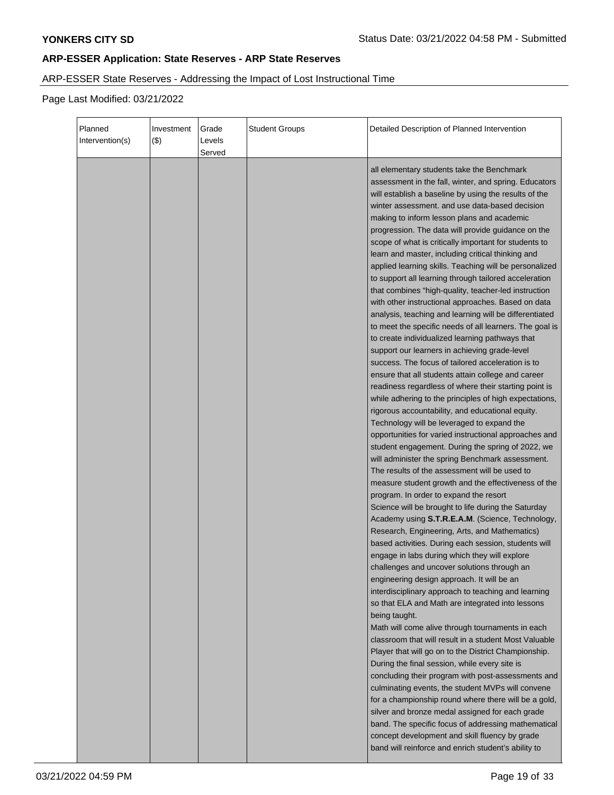# ARP-ESSER State Reserves - Addressing the Impact of Lost Instructional Time

Page Last Modified: 03/21/2022

| Planned<br>Intervention(s) | Investment<br>(3) | Grade<br>Levels<br>Served | <b>Student Groups</b> | Detailed Description of Planned Intervention                                                                                                                                                                                                                                                                                                                                                                                                                                                                                                                                                                                                                                                                                                                                                                                                                                                                                                                                                                                                                                                                                                                                                                                                                                                                                                                                                                                                                                                                                                                                                                                                                                                                                                                                                                                                                                                                                                                                                                                                                                                                                                                                                                                                                       |
|----------------------------|-------------------|---------------------------|-----------------------|--------------------------------------------------------------------------------------------------------------------------------------------------------------------------------------------------------------------------------------------------------------------------------------------------------------------------------------------------------------------------------------------------------------------------------------------------------------------------------------------------------------------------------------------------------------------------------------------------------------------------------------------------------------------------------------------------------------------------------------------------------------------------------------------------------------------------------------------------------------------------------------------------------------------------------------------------------------------------------------------------------------------------------------------------------------------------------------------------------------------------------------------------------------------------------------------------------------------------------------------------------------------------------------------------------------------------------------------------------------------------------------------------------------------------------------------------------------------------------------------------------------------------------------------------------------------------------------------------------------------------------------------------------------------------------------------------------------------------------------------------------------------------------------------------------------------------------------------------------------------------------------------------------------------------------------------------------------------------------------------------------------------------------------------------------------------------------------------------------------------------------------------------------------------------------------------------------------------------------------------------------------------|
|                            |                   |                           |                       | all elementary students take the Benchmark<br>assessment in the fall, winter, and spring. Educators<br>will establish a baseline by using the results of the<br>winter assessment. and use data-based decision<br>making to inform lesson plans and academic<br>progression. The data will provide guidance on the<br>scope of what is critically important for students to<br>learn and master, including critical thinking and<br>applied learning skills. Teaching will be personalized<br>to support all learning through tailored acceleration<br>that combines "high-quality, teacher-led instruction<br>with other instructional approaches. Based on data<br>analysis, teaching and learning will be differentiated<br>to meet the specific needs of all learners. The goal is<br>to create individualized learning pathways that<br>support our learners in achieving grade-level<br>success. The focus of tailored acceleration is to<br>ensure that all students attain college and career<br>readiness regardless of where their starting point is<br>while adhering to the principles of high expectations,<br>rigorous accountability, and educational equity.<br>Technology will be leveraged to expand the<br>opportunities for varied instructional approaches and<br>student engagement. During the spring of 2022, we<br>will administer the spring Benchmark assessment.<br>The results of the assessment will be used to<br>measure student growth and the effectiveness of the<br>program. In order to expand the resort<br>Science will be brought to life during the Saturday<br>Academy using S.T.R.E.A.M. (Science, Technology,<br>Research, Engineering, Arts, and Mathematics)<br>based activities. During each session, students will<br>engage in labs during which they will explore<br>challenges and uncover solutions through an<br>engineering design approach. It will be an<br>interdisciplinary approach to teaching and learning<br>so that ELA and Math are integrated into lessons<br>being taught.<br>Math will come alive through tournaments in each<br>classroom that will result in a student Most Valuable<br>Player that will go on to the District Championship.<br>During the final session, while every site is |
|                            |                   |                           |                       | concluding their program with post-assessments and<br>culminating events, the student MVPs will convene<br>for a championship round where there will be a gold,<br>silver and bronze medal assigned for each grade<br>band. The specific focus of addressing mathematical<br>concept development and skill fluency by grade<br>band will reinforce and enrich student's ability to                                                                                                                                                                                                                                                                                                                                                                                                                                                                                                                                                                                                                                                                                                                                                                                                                                                                                                                                                                                                                                                                                                                                                                                                                                                                                                                                                                                                                                                                                                                                                                                                                                                                                                                                                                                                                                                                                 |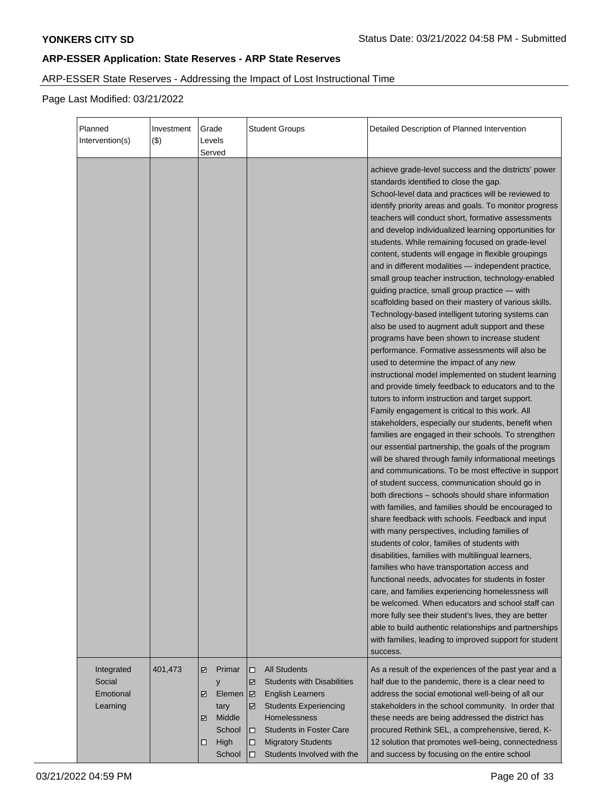# ARP-ESSER State Reserves - Addressing the Impact of Lost Instructional Time

Page Last Modified: 03/21/2022

| Planned<br>Intervention(s)                    | Investment<br>$($ \$) | Grade<br>Levels<br>Served                                                               | <b>Student Groups</b>                                                                                                                                                                                                                                                 | Detailed Description of Planned Intervention                                                                                                                                                                                                                                                                                                                                                                                                                                                                                                                                                                                                                                                                                                                                                                                                                                                                                                                                                                                                                                                                                                                                                                                                                                                                                                                                                                                                                                                                                                                                                                                                                                                                                                                                                                                                                                                                                                                                                                                                                                                                                                                                                                      |
|-----------------------------------------------|-----------------------|-----------------------------------------------------------------------------------------|-----------------------------------------------------------------------------------------------------------------------------------------------------------------------------------------------------------------------------------------------------------------------|-------------------------------------------------------------------------------------------------------------------------------------------------------------------------------------------------------------------------------------------------------------------------------------------------------------------------------------------------------------------------------------------------------------------------------------------------------------------------------------------------------------------------------------------------------------------------------------------------------------------------------------------------------------------------------------------------------------------------------------------------------------------------------------------------------------------------------------------------------------------------------------------------------------------------------------------------------------------------------------------------------------------------------------------------------------------------------------------------------------------------------------------------------------------------------------------------------------------------------------------------------------------------------------------------------------------------------------------------------------------------------------------------------------------------------------------------------------------------------------------------------------------------------------------------------------------------------------------------------------------------------------------------------------------------------------------------------------------------------------------------------------------------------------------------------------------------------------------------------------------------------------------------------------------------------------------------------------------------------------------------------------------------------------------------------------------------------------------------------------------------------------------------------------------------------------------------------------------|
|                                               |                       |                                                                                         |                                                                                                                                                                                                                                                                       | achieve grade-level success and the districts' power<br>standards identified to close the gap.<br>School-level data and practices will be reviewed to<br>identify priority areas and goals. To monitor progress<br>teachers will conduct short, formative assessments<br>and develop individualized learning opportunities for<br>students. While remaining focused on grade-level<br>content, students will engage in flexible groupings<br>and in different modalities - independent practice,<br>small group teacher instruction, technology-enabled<br>guiding practice, small group practice - with<br>scaffolding based on their mastery of various skills.<br>Technology-based intelligent tutoring systems can<br>also be used to augment adult support and these<br>programs have been shown to increase student<br>performance. Formative assessments will also be<br>used to determine the impact of any new<br>instructional model implemented on student learning<br>and provide timely feedback to educators and to the<br>tutors to inform instruction and target support.<br>Family engagement is critical to this work. All<br>stakeholders, especially our students, benefit when<br>families are engaged in their schools. To strengthen<br>our essential partnership, the goals of the program<br>will be shared through family informational meetings<br>and communications. To be most effective in support<br>of student success, communication should go in<br>both directions - schools should share information<br>with families, and families should be encouraged to<br>share feedback with schools. Feedback and input<br>with many perspectives, including families of<br>students of color, families of students with<br>disabilities, families with multilingual learners,<br>families who have transportation access and<br>functional needs, advocates for students in foster<br>care, and families experiencing homelessness will<br>be welcomed. When educators and school staff can<br>more fully see their student's lives, they are better<br>able to build authentic relationships and partnerships<br>with families, leading to improved support for student<br>success. |
| Integrated<br>Social<br>Emotional<br>Learning | 401,473               | Primar<br>☑<br>y<br>Elemen<br>☑<br>tary<br>Middle<br>☑<br>School<br>High<br>□<br>School | <b>All Students</b><br>□<br><b>Students with Disabilities</b><br>☑<br><b>English Learners</b><br>∣ ⊠<br><b>Students Experiencing</b><br>☑<br>Homelessness<br><b>Students in Foster Care</b><br>□<br><b>Migratory Students</b><br>□<br>Students Involved with the<br>◻ | As a result of the experiences of the past year and a<br>half due to the pandemic, there is a clear need to<br>address the social emotional well-being of all our<br>stakeholders in the school community. In order that<br>these needs are being addressed the district has<br>procured Rethink SEL, a comprehensive, tiered, K-<br>12 solution that promotes well-being, connectedness<br>and success by focusing on the entire school                                                                                                                                                                                                                                                                                                                                                                                                                                                                                                                                                                                                                                                                                                                                                                                                                                                                                                                                                                                                                                                                                                                                                                                                                                                                                                                                                                                                                                                                                                                                                                                                                                                                                                                                                                          |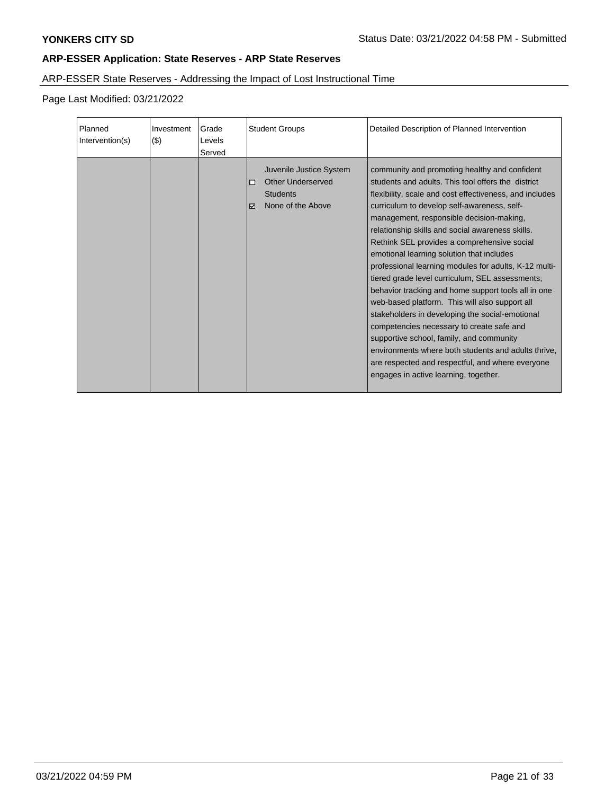# ARP-ESSER State Reserves - Addressing the Impact of Lost Instructional Time

Page Last Modified: 03/21/2022

| Planned<br>Intervention(s) | Investment<br>(3) | Grade<br>Levels<br>Served | <b>Student Groups</b>                                                                          | Detailed Description of Planned Intervention                                                                                                                                                                                                                                                                                                                                                                                                                                                                                                                                                                                                                                                                                                                                                                                                                                                                                   |
|----------------------------|-------------------|---------------------------|------------------------------------------------------------------------------------------------|--------------------------------------------------------------------------------------------------------------------------------------------------------------------------------------------------------------------------------------------------------------------------------------------------------------------------------------------------------------------------------------------------------------------------------------------------------------------------------------------------------------------------------------------------------------------------------------------------------------------------------------------------------------------------------------------------------------------------------------------------------------------------------------------------------------------------------------------------------------------------------------------------------------------------------|
|                            |                   |                           | Juvenile Justice System<br>Other Underserved<br>□<br><b>Students</b><br>None of the Above<br>⊽ | community and promoting healthy and confident<br>students and adults. This tool offers the district<br>flexibility, scale and cost effectiveness, and includes<br>curriculum to develop self-awareness, self-<br>management, responsible decision-making,<br>relationship skills and social awareness skills.<br>Rethink SEL provides a comprehensive social<br>emotional learning solution that includes<br>professional learning modules for adults, K-12 multi-<br>tiered grade level curriculum, SEL assessments,<br>behavior tracking and home support tools all in one<br>web-based platform. This will also support all<br>stakeholders in developing the social-emotional<br>competencies necessary to create safe and<br>supportive school, family, and community<br>environments where both students and adults thrive,<br>are respected and respectful, and where everyone<br>engages in active learning, together. |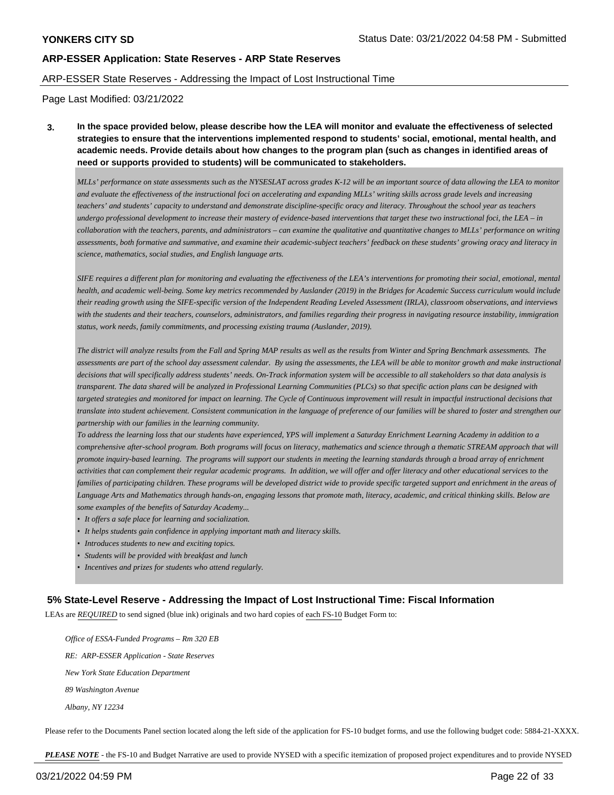#### ARP-ESSER State Reserves - Addressing the Impact of Lost Instructional Time

Page Last Modified: 03/21/2022

**3. In the space provided below, please describe how the LEA will monitor and evaluate the effectiveness of selected strategies to ensure that the interventions implemented respond to students' social, emotional, mental health, and academic needs. Provide details about how changes to the program plan (such as changes in identified areas of need or supports provided to students) will be communicated to stakeholders.**

*MLLs' performance on state assessments such as the NYSESLAT across grades K-12 will be an important source of data allowing the LEA to monitor and evaluate the effectiveness of the instructional foci on accelerating and expanding MLLs' writing skills across grade levels and increasing teachers' and students' capacity to understand and demonstrate discipline-specific oracy and literacy. Throughout the school year as teachers undergo professional development to increase their mastery of evidence-based interventions that target these two instructional foci, the LEA – in collaboration with the teachers, parents, and administrators – can examine the qualitative and quantitative changes to MLLs' performance on writing assessments, both formative and summative, and examine their academic-subject teachers' feedback on these students' growing oracy and literacy in science, mathematics, social studies, and English language arts.*

*SIFE requires a different plan for monitoring and evaluating the effectiveness of the LEA's interventions for promoting their social, emotional, mental health, and academic well-being. Some key metrics recommended by Auslander (2019) in the Bridges for Academic Success curriculum would include their reading growth using the SIFE-specific version of the Independent Reading Leveled Assessment (IRLA), classroom observations, and interviews with the students and their teachers, counselors, administrators, and families regarding their progress in navigating resource instability, immigration status, work needs, family commitments, and processing existing trauma (Auslander, 2019).*

*The district will analyze results from the Fall and Spring MAP results as well as the results from Winter and Spring Benchmark assessments. The assessments are part of the school day assessment calendar. By using the assessments, the LEA will be able to monitor growth and make instructional decisions that will specifically address students' needs. On-Track information system will be accessible to all stakeholders so that data analysis is transparent. The data shared will be analyzed in Professional Learning Communities (PLCs) so that specific action plans can be designed with targeted strategies and monitored for impact on learning. The Cycle of Continuous improvement will result in impactful instructional decisions that translate into student achievement. Consistent communication in the language of preference of our families will be shared to foster and strengthen our partnership with our families in the learning community.*

*To address the learning loss that our students have experienced, YPS will implement a Saturday Enrichment Learning Academy in addition to a comprehensive after-school program. Both programs will focus on literacy, mathematics and science through a thematic STREAM approach that will promote inquiry-based learning. The programs will support our students in meeting the learning standards through a broad array of enrichment activities that can complement their regular academic programs. In addition, we will offer and offer literacy and other educational services to the families of participating children. These programs will be developed district wide to provide specific targeted support and enrichment in the areas of Language Arts and Mathematics through hands-on, engaging lessons that promote math, literacy, academic, and critical thinking skills. Below are some examples of the benefits of Saturday Academy...*

- *• It offers a safe place for learning and socialization.*
- *• It helps students gain confidence in applying important math and literacy skills.*
- *• Introduces students to new and exciting topics.*
- *• Students will be provided with breakfast and lunch*
- *• Incentives and prizes for students who attend regularly.*

#### **5% State-Level Reserve - Addressing the Impact of Lost Instructional Time: Fiscal Information**

LEAs are *REQUIRED* to send signed (blue ink) originals and two hard copies of each FS-10 Budget Form to:

 *Office of ESSA-Funded Programs – Rm 320 EB RE: ARP-ESSER Application - State Reserves New York State Education Department 89 Washington Avenue Albany, NY 12234*

Please refer to the Documents Panel section located along the left side of the application for FS-10 budget forms, and use the following budget code: 5884-21-XXXX.

*PLEASE NOTE* - the FS-10 and Budget Narrative are used to provide NYSED with a specific itemization of proposed project expenditures and to provide NYSED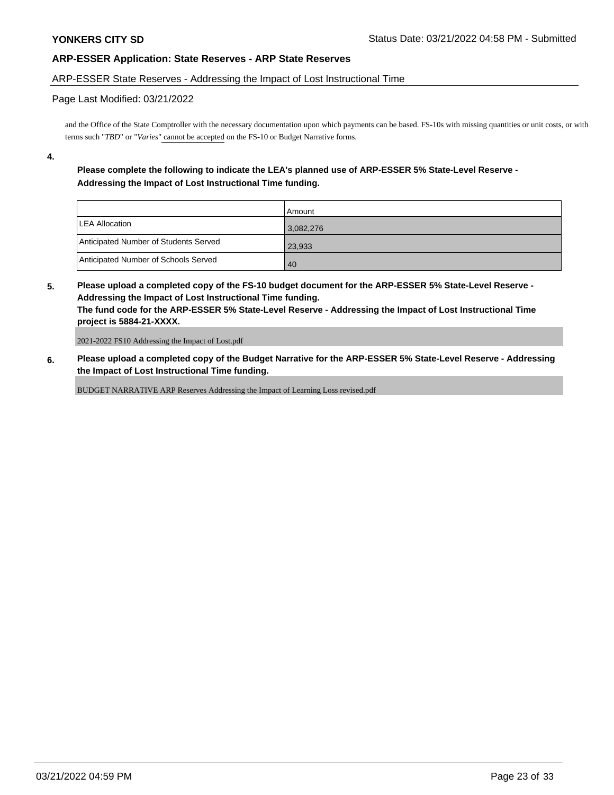### ARP-ESSER State Reserves - Addressing the Impact of Lost Instructional Time

#### Page Last Modified: 03/21/2022

and the Office of the State Comptroller with the necessary documentation upon which payments can be based. FS-10s with missing quantities or unit costs, or with terms such "*TBD*" or "*Varies*" cannot be accepted on the FS-10 or Budget Narrative forms.

**4.**

## **Please complete the following to indicate the LEA's planned use of ARP-ESSER 5% State-Level Reserve - Addressing the Impact of Lost Instructional Time funding.**

|                                       | l Amount  |
|---------------------------------------|-----------|
| <b>LEA Allocation</b>                 | 3,082,276 |
| Anticipated Number of Students Served | 23,933    |
| Anticipated Number of Schools Served  | 40        |

**5. Please upload a completed copy of the FS-10 budget document for the ARP-ESSER 5% State-Level Reserve - Addressing the Impact of Lost Instructional Time funding. The fund code for the ARP-ESSER 5% State-Level Reserve - Addressing the Impact of Lost Instructional Time project is 5884-21-XXXX.**

2021-2022 FS10 Addressing the Impact of Lost.pdf

**6. Please upload a completed copy of the Budget Narrative for the ARP-ESSER 5% State-Level Reserve - Addressing the Impact of Lost Instructional Time funding.**

BUDGET NARRATIVE ARP Reserves Addressing the Impact of Learning Loss revised.pdf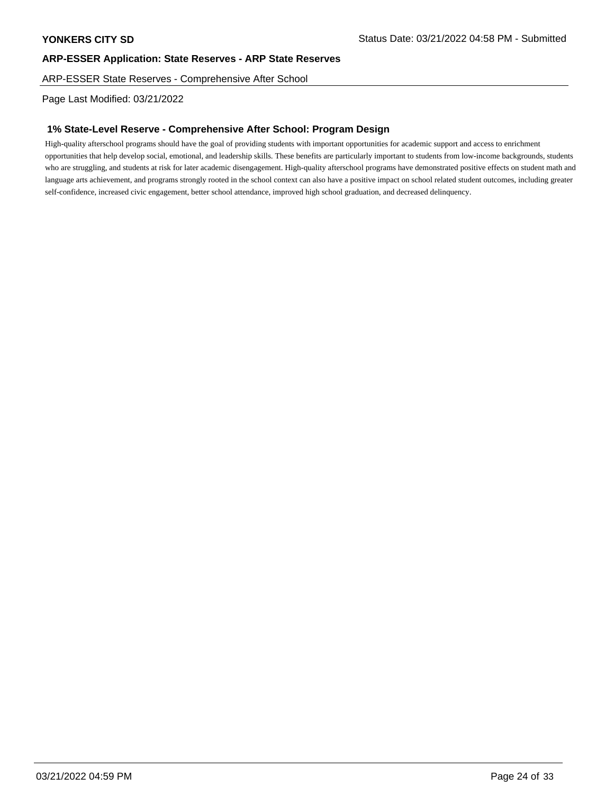ARP-ESSER State Reserves - Comprehensive After School

Page Last Modified: 03/21/2022

## **1% State-Level Reserve - Comprehensive After School: Program Design**

High-quality afterschool programs should have the goal of providing students with important opportunities for academic support and access to enrichment opportunities that help develop social, emotional, and leadership skills. These benefits are particularly important to students from low-income backgrounds, students who are struggling, and students at risk for later academic disengagement. High-quality afterschool programs have demonstrated positive effects on student math and language arts achievement, and programs strongly rooted in the school context can also have a positive impact on school related student outcomes, including greater self-confidence, increased civic engagement, better school attendance, improved high school graduation, and decreased delinquency.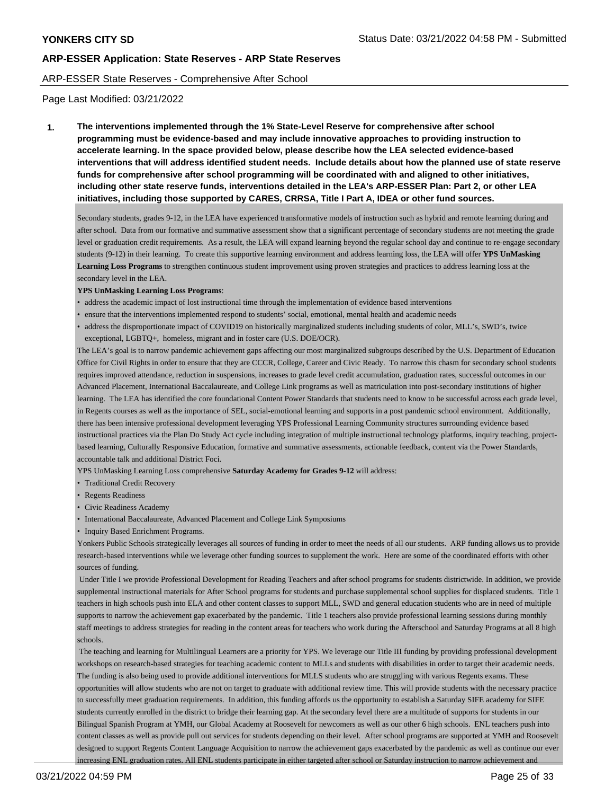#### ARP-ESSER State Reserves - Comprehensive After School

Page Last Modified: 03/21/2022

**1. The interventions implemented through the 1% State-Level Reserve for comprehensive after school programming must be evidence-based and may include innovative approaches to providing instruction to accelerate learning. In the space provided below, please describe how the LEA selected evidence-based interventions that will address identified student needs. Include details about how the planned use of state reserve funds for comprehensive after school programming will be coordinated with and aligned to other initiatives, including other state reserve funds, interventions detailed in the LEA's ARP-ESSER Plan: Part 2, or other LEA initiatives, including those supported by CARES, CRRSA, Title I Part A, IDEA or other fund sources.**

Secondary students, grades 9-12, in the LEA have experienced transformative models of instruction such as hybrid and remote learning during and after school. Data from our formative and summative assessment show that a significant percentage of secondary students are not meeting the grade level or graduation credit requirements. As a result, the LEA will expand learning beyond the regular school day and continue to re-engage secondary students (9-12) in their learning. To create this supportive learning environment and address learning loss, the LEA will offer **YPS UnMasking Learning Loss Programs** to strengthen continuous student improvement using proven strategies and practices to address learning loss at the secondary level in the LEA.

#### **YPS UnMasking Learning Loss Programs**:

- address the academic impact of lost instructional time through the implementation of evidence based interventions
- ensure that the interventions implemented respond to students' social, emotional, mental health and academic needs
- address the disproportionate impact of COVID19 on historically marginalized students including students of color, MLL's, SWD's, twice exceptional, LGBTQ+, homeless, migrant and in foster care (U.S. DOE/OCR).

The LEA's goal is to narrow pandemic achievement gaps affecting our most marginalized subgroups described by the U.S. Department of Education Office for Civil Rights in order to ensure that they are CCCR, College, Career and Civic Ready. To narrow this chasm for secondary school students requires improved attendance, reduction in suspensions, increases to grade level credit accumulation, graduation rates, successful outcomes in our Advanced Placement, International Baccalaureate, and College Link programs as well as matriculation into post-secondary institutions of higher learning. The LEA has identified the core foundational Content Power Standards that students need to know to be successful across each grade level, in Regents courses as well as the importance of SEL, social-emotional learning and supports in a post pandemic school environment. Additionally, there has been intensive professional development leveraging YPS Professional Learning Community structures surrounding evidence based instructional practices via the Plan Do Study Act cycle including integration of multiple instructional technology platforms, inquiry teaching, projectbased learning, Culturally Responsive Education, formative and summative assessments, actionable feedback, content via the Power Standards, accountable talk and additional District Foci.

YPS UnMasking Learning Loss comprehensive **Saturday Academy for Grades 9-12** will address:

- Traditional Credit Recovery
- Regents Readiness
- Civic Readiness Academy
- International Baccalaureate, Advanced Placement and College Link Symposiums
- Inquiry Based Enrichment Programs.

Yonkers Public Schools strategically leverages all sources of funding in order to meet the needs of all our students. ARP funding allows us to provide research-based interventions while we leverage other funding sources to supplement the work. Here are some of the coordinated efforts with other sources of funding.

 Under Title I we provide Professional Development for Reading Teachers and after school programs for students districtwide. In addition, we provide supplemental instructional materials for After School programs for students and purchase supplemental school supplies for displaced students. Title 1 teachers in high schools push into ELA and other content classes to support MLL, SWD and general education students who are in need of multiple supports to narrow the achievement gap exacerbated by the pandemic. Title 1 teachers also provide professional learning sessions during monthly staff meetings to address strategies for reading in the content areas for teachers who work during the Afterschool and Saturday Programs at all 8 high schools.

 The teaching and learning for Multilingual Learners are a priority for YPS. We leverage our Title III funding by providing professional development workshops on research-based strategies for teaching academic content to MLLs and students with disabilities in order to target their academic needs. The funding is also being used to provide additional interventions for MLLS students who are struggling with various Regents exams. These opportunities will allow students who are not on target to graduate with additional review time. This will provide students with the necessary practice to successfully meet graduation requirements. In addition, this funding affords us the opportunity to establish a Saturday SIFE academy for SIFE students currently enrolled in the district to bridge their learning gap. At the secondary level there are a multitude of supports for students in our Bilingual Spanish Program at YMH, our Global Academy at Roosevelt for newcomers as well as our other 6 high schools. ENL teachers push into content classes as well as provide pull out services for students depending on their level. After school programs are supported at YMH and Roosevelt designed to support Regents Content Language Acquisition to narrow the achievement gaps exacerbated by the pandemic as well as continue our ever increasing ENL graduation rates. All ENL students participate in either targeted after school or Saturday instruction to narrow achievement and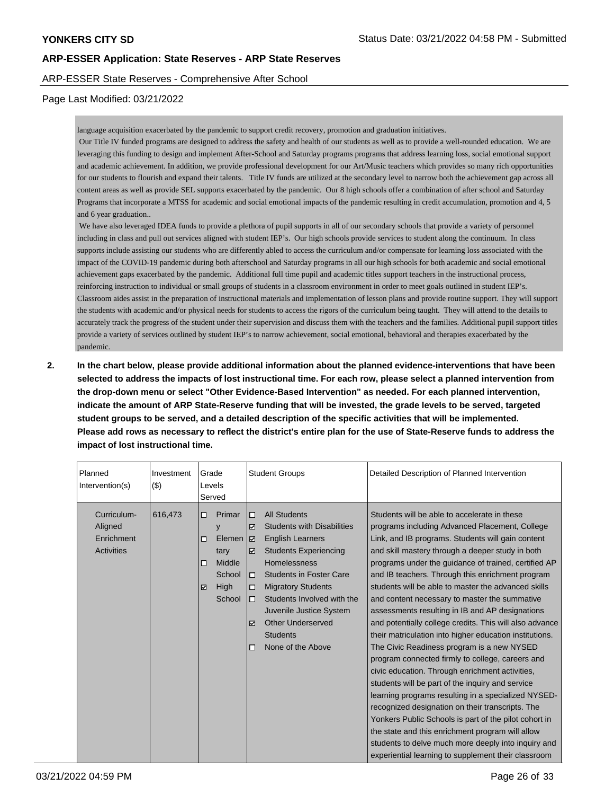### ARP-ESSER State Reserves - Comprehensive After School

### Page Last Modified: 03/21/2022

language acquisition exacerbated by the pandemic to support credit recovery, promotion and graduation initiatives.

 Our Title IV funded programs are designed to address the safety and health of our students as well as to provide a well-rounded education. We are leveraging this funding to design and implement After-School and Saturday programs programs that address learning loss, social emotional support and academic achievement. In addition, we provide professional development for our Art/Music teachers which provides so many rich opportunities for our students to flourish and expand their talents. Title IV funds are utilized at the secondary level to narrow both the achievement gap across all content areas as well as provide SEL supports exacerbated by the pandemic. Our 8 high schools offer a combination of after school and Saturday Programs that incorporate a MTSS for academic and social emotional impacts of the pandemic resulting in credit accumulation, promotion and 4, 5 and 6 year graduation..

 We have also leveraged IDEA funds to provide a plethora of pupil supports in all of our secondary schools that provide a variety of personnel including in class and pull out services aligned with student IEP's. Our high schools provide services to student along the continuum. In class supports include assisting our students who are differently abled to access the curriculum and/or compensate for learning loss associated with the impact of the COVID-19 pandemic during both afterschool and Saturday programs in all our high schools for both academic and social emotional achievement gaps exacerbated by the pandemic. Additional full time pupil and academic titles support teachers in the instructional process, reinforcing instruction to individual or small groups of students in a classroom environment in order to meet goals outlined in student IEP's. Classroom aides assist in the preparation of instructional materials and implementation of lesson plans and provide routine support. They will support the students with academic and/or physical needs for students to access the rigors of the curriculum being taught. They will attend to the details to accurately track the progress of the student under their supervision and discuss them with the teachers and the families. Additional pupil support titles provide a variety of services outlined by student IEP's to narrow achievement, social emotional, behavioral and therapies exacerbated by the pandemic.

**2. In the chart below, please provide additional information about the planned evidence-interventions that have been selected to address the impacts of lost instructional time. For each row, please select a planned intervention from the drop-down menu or select "Other Evidence-Based Intervention" as needed. For each planned intervention, indicate the amount of ARP State-Reserve funding that will be invested, the grade levels to be served, targeted student groups to be served, and a detailed description of the specific activities that will be implemented. Please add rows as necessary to reflect the district's entire plan for the use of State-Reserve funds to address the impact of lost instructional time.**

| Planned<br>(3)<br>Intervention(s)                                    | Grade<br>Investment<br>Levels<br>Served                                                 | <b>Student Groups</b>                                                                                                                                                                                                                                                                                                                                                                                               | Detailed Description of Planned Intervention                                                                                                                                                                                                                                                                                                                                                                                                                                                                                                                                                                                                                                                                                                                                                                                                                                                                                                                                                                                                                                                                                                        |  |
|----------------------------------------------------------------------|-----------------------------------------------------------------------------------------|---------------------------------------------------------------------------------------------------------------------------------------------------------------------------------------------------------------------------------------------------------------------------------------------------------------------------------------------------------------------------------------------------------------------|-----------------------------------------------------------------------------------------------------------------------------------------------------------------------------------------------------------------------------------------------------------------------------------------------------------------------------------------------------------------------------------------------------------------------------------------------------------------------------------------------------------------------------------------------------------------------------------------------------------------------------------------------------------------------------------------------------------------------------------------------------------------------------------------------------------------------------------------------------------------------------------------------------------------------------------------------------------------------------------------------------------------------------------------------------------------------------------------------------------------------------------------------------|--|
| 616,473<br>Curriculum-<br>Aligned<br>Enrichment<br><b>Activities</b> | Primar<br>□<br>y<br>Elemen<br>□<br>tary<br>Middle<br>□<br>School<br>High<br>☑<br>School | <b>All Students</b><br>$\Box$<br><b>Students with Disabilities</b><br>⊽<br><b>English Learners</b><br>$\overline{\mathbf{v}}$<br><b>Students Experiencing</b><br>☑<br><b>Homelessness</b><br><b>Students in Foster Care</b><br>о<br><b>Migratory Students</b><br>п<br>Students Involved with the<br>$\Box$<br>Juvenile Justice System<br><b>Other Underserved</b><br>⊽<br><b>Students</b><br>None of the Above<br>П | Students will be able to accelerate in these<br>programs including Advanced Placement, College<br>Link, and IB programs. Students will gain content<br>and skill mastery through a deeper study in both<br>programs under the guidance of trained, certified AP<br>and IB teachers. Through this enrichment program<br>students will be able to master the advanced skills<br>and content necessary to master the summative<br>assessments resulting in IB and AP designations<br>and potentially college credits. This will also advance<br>their matriculation into higher education institutions.<br>The Civic Readiness program is a new NYSED<br>program connected firmly to college, careers and<br>civic education. Through enrichment activities,<br>students will be part of the inquiry and service<br>learning programs resulting in a specialized NYSED-<br>recognized designation on their transcripts. The<br>Yonkers Public Schools is part of the pilot cohort in<br>the state and this enrichment program will allow<br>students to delve much more deeply into inquiry and<br>experiential learning to supplement their classroom |  |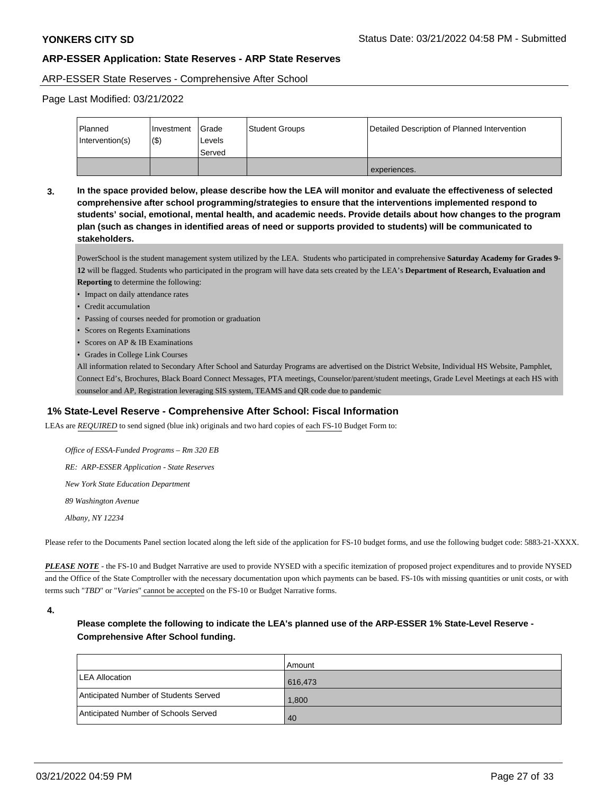#### ARP-ESSER State Reserves - Comprehensive After School

Page Last Modified: 03/21/2022

| Planned<br>Intervention(s) | l Investment<br>$($ \$ | <b>I</b> Grade<br>Levels<br>Served | <b>Student Groups</b> | Detailed Description of Planned Intervention |
|----------------------------|------------------------|------------------------------------|-----------------------|----------------------------------------------|
|                            |                        |                                    |                       | experiences.                                 |

**3. In the space provided below, please describe how the LEA will monitor and evaluate the effectiveness of selected comprehensive after school programming/strategies to ensure that the interventions implemented respond to students' social, emotional, mental health, and academic needs. Provide details about how changes to the program plan (such as changes in identified areas of need or supports provided to students) will be communicated to stakeholders.**

PowerSchool is the student management system utilized by the LEA. Students who participated in comprehensive **Saturday Academy for Grades 9- 12** will be flagged. Students who participated in the program will have data sets created by the LEA's **Department of Research, Evaluation and Reporting** to determine the following:

- Impact on daily attendance rates
- Credit accumulation
- Passing of courses needed for promotion or graduation
- Scores on Regents Examinations
- Scores on AP & IB Examinations
- Grades in College Link Courses

All information related to Secondary After School and Saturday Programs are advertised on the District Website, Individual HS Website, Pamphlet, Connect Ed's, Brochures, Black Board Connect Messages, PTA meetings, Counselor/parent/student meetings, Grade Level Meetings at each HS with counselor and AP, Registration leveraging SIS system, TEAMS and QR code due to pandemic

## **1% State-Level Reserve - Comprehensive After School: Fiscal Information**

LEAs are *REQUIRED* to send signed (blue ink) originals and two hard copies of each FS-10 Budget Form to:

 *Office of ESSA-Funded Programs – Rm 320 EB RE: ARP-ESSER Application - State Reserves New York State Education Department 89 Washington Avenue Albany, NY 12234*

Please refer to the Documents Panel section located along the left side of the application for FS-10 budget forms, and use the following budget code: 5883-21-XXXX.

*PLEASE NOTE* - the FS-10 and Budget Narrative are used to provide NYSED with a specific itemization of proposed project expenditures and to provide NYSED and the Office of the State Comptroller with the necessary documentation upon which payments can be based. FS-10s with missing quantities or unit costs, or with terms such "*TBD*" or "*Varies*" cannot be accepted on the FS-10 or Budget Narrative forms.

**Please complete the following to indicate the LEA's planned use of the ARP-ESSER 1% State-Level Reserve - Comprehensive After School funding.**

|                                       | l Amount |
|---------------------------------------|----------|
| LEA Allocation                        | 616,473  |
| Anticipated Number of Students Served | 1,800    |
| Anticipated Number of Schools Served  | 40       |

**<sup>4.</sup>**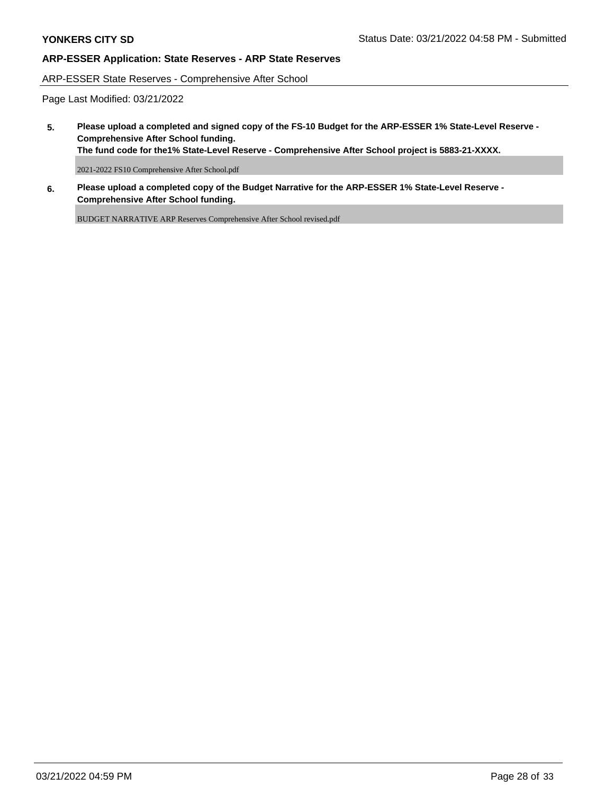ARP-ESSER State Reserves - Comprehensive After School

Page Last Modified: 03/21/2022

**5. Please upload a completed and signed copy of the FS-10 Budget for the ARP-ESSER 1% State-Level Reserve - Comprehensive After School funding.**

**The fund code for the1% State-Level Reserve - Comprehensive After School project is 5883-21-XXXX.**

2021-2022 FS10 Comprehensive After School.pdf

**6. Please upload a completed copy of the Budget Narrative for the ARP-ESSER 1% State-Level Reserve - Comprehensive After School funding.**

BUDGET NARRATIVE ARP Reserves Comprehensive After School revised.pdf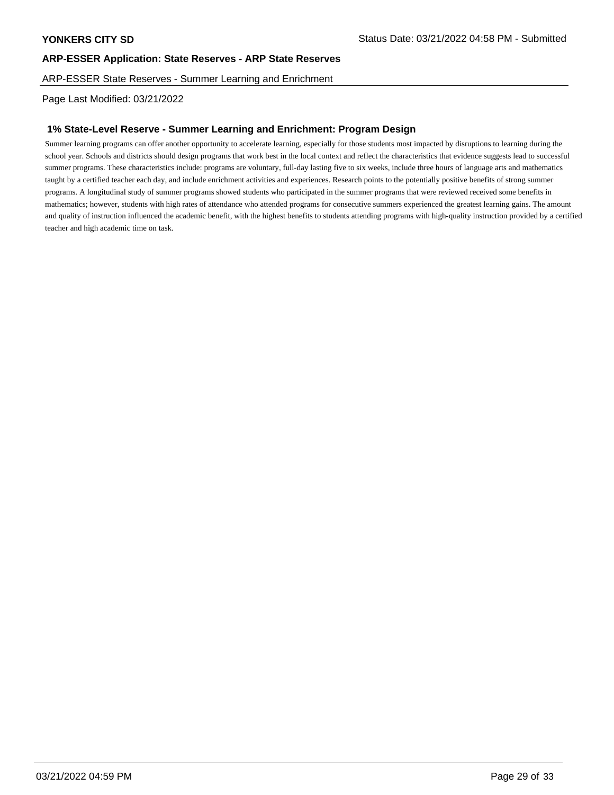ARP-ESSER State Reserves - Summer Learning and Enrichment

Page Last Modified: 03/21/2022

## **1% State-Level Reserve - Summer Learning and Enrichment: Program Design**

Summer learning programs can offer another opportunity to accelerate learning, especially for those students most impacted by disruptions to learning during the school year. Schools and districts should design programs that work best in the local context and reflect the characteristics that evidence suggests lead to successful summer programs. These characteristics include: programs are voluntary, full-day lasting five to six weeks, include three hours of language arts and mathematics taught by a certified teacher each day, and include enrichment activities and experiences. Research points to the potentially positive benefits of strong summer programs. A longitudinal study of summer programs showed students who participated in the summer programs that were reviewed received some benefits in mathematics; however, students with high rates of attendance who attended programs for consecutive summers experienced the greatest learning gains. The amount and quality of instruction influenced the academic benefit, with the highest benefits to students attending programs with high-quality instruction provided by a certified teacher and high academic time on task.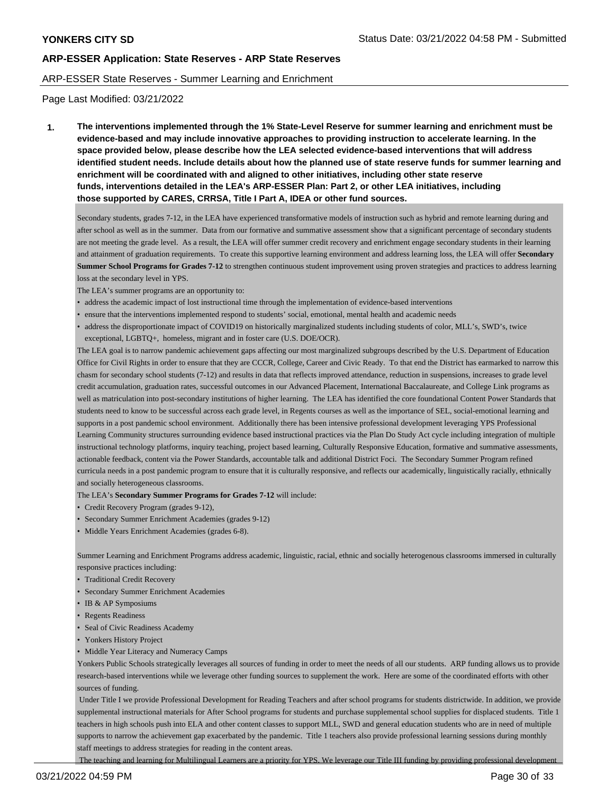#### ARP-ESSER State Reserves - Summer Learning and Enrichment

Page Last Modified: 03/21/2022

**1. The interventions implemented through the 1% State-Level Reserve for summer learning and enrichment must be evidence-based and may include innovative approaches to providing instruction to accelerate learning. In the space provided below, please describe how the LEA selected evidence-based interventions that will address identified student needs. Include details about how the planned use of state reserve funds for summer learning and enrichment will be coordinated with and aligned to other initiatives, including other state reserve funds, interventions detailed in the LEA's ARP-ESSER Plan: Part 2, or other LEA initiatives, including those supported by CARES, CRRSA, Title I Part A, IDEA or other fund sources.**

Secondary students, grades 7-12, in the LEA have experienced transformative models of instruction such as hybrid and remote learning during and after school as well as in the summer. Data from our formative and summative assessment show that a significant percentage of secondary students are not meeting the grade level. As a result, the LEA will offer summer credit recovery and enrichment engage secondary students in their learning and attainment of graduation requirements. To create this supportive learning environment and address learning loss, the LEA will offer **Secondary Summer School Programs for Grades 7-12** to strengthen continuous student improvement using proven strategies and practices to address learning loss at the secondary level in YPS.

The LEA's summer programs are an opportunity to:

- address the academic impact of lost instructional time through the implementation of evidence-based interventions
- ensure that the interventions implemented respond to students' social, emotional, mental health and academic needs
- address the disproportionate impact of COVID19 on historically marginalized students including students of color, MLL's, SWD's, twice exceptional, LGBTQ+, homeless, migrant and in foster care (U.S. DOE/OCR).

The LEA goal is to narrow pandemic achievement gaps affecting our most marginalized subgroups described by the U.S. Department of Education Office for Civil Rights in order to ensure that they are CCCR, College, Career and Civic Ready. To that end the District has earmarked to narrow this chasm for secondary school students (7-12) and results in data that reflects improved attendance, reduction in suspensions, increases to grade level credit accumulation, graduation rates, successful outcomes in our Advanced Placement, International Baccalaureate, and College Link programs as well as matriculation into post-secondary institutions of higher learning. The LEA has identified the core foundational Content Power Standards that students need to know to be successful across each grade level, in Regents courses as well as the importance of SEL, social-emotional learning and supports in a post pandemic school environment. Additionally there has been intensive professional development leveraging YPS Professional Learning Community structures surrounding evidence based instructional practices via the Plan Do Study Act cycle including integration of multiple instructional technology platforms, inquiry teaching, project based learning, Culturally Responsive Education, formative and summative assessments, actionable feedback, content via the Power Standards, accountable talk and additional District Foci. The Secondary Summer Program refined curricula needs in a post pandemic program to ensure that it is culturally responsive, and reflects our academically, linguistically racially, ethnically and socially heterogeneous classrooms.

The LEA's **Secondary Summer Programs for Grades 7-12** will include:

- Credit Recovery Program (grades 9-12),
- Secondary Summer Enrichment Academies (grades 9-12)
- Middle Years Enrichment Academies (grades 6-8).

Summer Learning and Enrichment Programs address academic, linguistic, racial, ethnic and socially heterogenous classrooms immersed in culturally responsive practices including:

- Traditional Credit Recovery
- Secondary Summer Enrichment Academies
- IB & AP Symposiums
- Regents Readiness
- Seal of Civic Readiness Academy
- Yonkers History Project
- Middle Year Literacy and Numeracy Camps

Yonkers Public Schools strategically leverages all sources of funding in order to meet the needs of all our students. ARP funding allows us to provide research-based interventions while we leverage other funding sources to supplement the work. Here are some of the coordinated efforts with other sources of funding.

 Under Title I we provide Professional Development for Reading Teachers and after school programs for students districtwide. In addition, we provide supplemental instructional materials for After School programs for students and purchase supplemental school supplies for displaced students. Title 1 teachers in high schools push into ELA and other content classes to support MLL, SWD and general education students who are in need of multiple supports to narrow the achievement gap exacerbated by the pandemic. Title 1 teachers also provide professional learning sessions during monthly staff meetings to address strategies for reading in the content areas.

The teaching and learning for Multilingual Learners are a priority for YPS. We leverage our Title III funding by providing professional development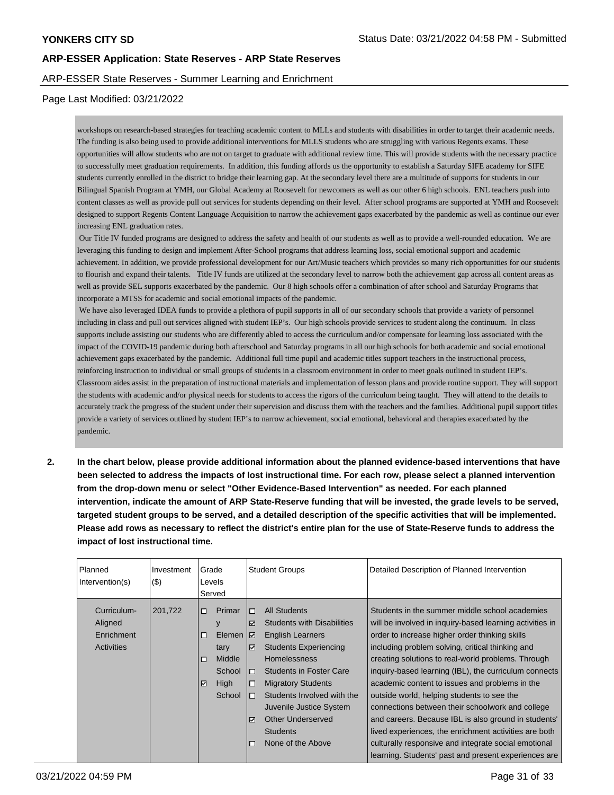### ARP-ESSER State Reserves - Summer Learning and Enrichment

#### Page Last Modified: 03/21/2022

workshops on research-based strategies for teaching academic content to MLLs and students with disabilities in order to target their academic needs. The funding is also being used to provide additional interventions for MLLS students who are struggling with various Regents exams. These opportunities will allow students who are not on target to graduate with additional review time. This will provide students with the necessary practice to successfully meet graduation requirements. In addition, this funding affords us the opportunity to establish a Saturday SIFE academy for SIFE students currently enrolled in the district to bridge their learning gap. At the secondary level there are a multitude of supports for students in our Bilingual Spanish Program at YMH, our Global Academy at Roosevelt for newcomers as well as our other 6 high schools. ENL teachers push into content classes as well as provide pull out services for students depending on their level. After school programs are supported at YMH and Roosevelt designed to support Regents Content Language Acquisition to narrow the achievement gaps exacerbated by the pandemic as well as continue our ever increasing ENL graduation rates.

 Our Title IV funded programs are designed to address the safety and health of our students as well as to provide a well-rounded education. We are leveraging this funding to design and implement After-School programs that address learning loss, social emotional support and academic achievement. In addition, we provide professional development for our Art/Music teachers which provides so many rich opportunities for our students to flourish and expand their talents. Title IV funds are utilized at the secondary level to narrow both the achievement gap across all content areas as well as provide SEL supports exacerbated by the pandemic. Our 8 high schools offer a combination of after school and Saturday Programs that incorporate a MTSS for academic and social emotional impacts of the pandemic.

 We have also leveraged IDEA funds to provide a plethora of pupil supports in all of our secondary schools that provide a variety of personnel including in class and pull out services aligned with student IEP's. Our high schools provide services to student along the continuum. In class supports include assisting our students who are differently abled to access the curriculum and/or compensate for learning loss associated with the impact of the COVID-19 pandemic during both afterschool and Saturday programs in all our high schools for both academic and social emotional achievement gaps exacerbated by the pandemic. Additional full time pupil and academic titles support teachers in the instructional process, reinforcing instruction to individual or small groups of students in a classroom environment in order to meet goals outlined in student IEP's. Classroom aides assist in the preparation of instructional materials and implementation of lesson plans and provide routine support. They will support the students with academic and/or physical needs for students to access the rigors of the curriculum being taught. They will attend to the details to accurately track the progress of the student under their supervision and discuss them with the teachers and the families. Additional pupil support titles provide a variety of services outlined by student IEP's to narrow achievement, social emotional, behavioral and therapies exacerbated by the pandemic.

**2. In the chart below, please provide additional information about the planned evidence-based interventions that have been selected to address the impacts of lost instructional time. For each row, please select a planned intervention from the drop-down menu or select "Other Evidence-Based Intervention" as needed. For each planned intervention, indicate the amount of ARP State-Reserve funding that will be invested, the grade levels to be served, targeted student groups to be served, and a detailed description of the specific activities that will be implemented. Please add rows as necessary to reflect the district's entire plan for the use of State-Reserve funds to address the impact of lost instructional time.**

| Planned           | Investment | Grade  |        |                         | <b>Student Groups</b>             | Detailed Description of Planned Intervention             |
|-------------------|------------|--------|--------|-------------------------|-----------------------------------|----------------------------------------------------------|
| Intervention(s)   | $($ \$)    |        | Levels |                         |                                   |                                                          |
|                   |            |        | Served |                         |                                   |                                                          |
| Curriculum-       | 201,722    | $\Box$ | Primar | $\Box$                  | <b>All Students</b>               | Students in the summer middle school academies           |
| Aligned           |            |        | v      | $\blacktriangledown$    | <b>Students with Disabilities</b> | will be involved in inquiry-based learning activities in |
| Enrichment        |            | $\Box$ | Elemen | IЙ                      | <b>English Learners</b>           | order to increase higher order thinking skills           |
| <b>Activities</b> |            |        | tary   | $\overline{\mathbf{v}}$ | <b>Students Experiencing</b>      | including problem solving, critical thinking and         |
|                   |            | $\Box$ | Middle |                         | <b>Homelessness</b>               | creating solutions to real-world problems. Through       |
|                   |            |        | School | $\Box$                  | <b>Students in Foster Care</b>    | inquiry-based learning (IBL), the curriculum connects    |
|                   |            | ☑      | High   | $\Box$                  | <b>Migratory Students</b>         | academic content to issues and problems in the           |
|                   |            |        | School | $\Box$                  | Students Involved with the        | outside world, helping students to see the               |
|                   |            |        |        |                         | Juvenile Justice System           | connections between their schoolwork and college         |
|                   |            |        |        | $\overline{\mathbf{v}}$ | <b>Other Underserved</b>          | and careers. Because IBL is also ground in students'     |
|                   |            |        |        |                         | <b>Students</b>                   | lived experiences, the enrichment activities are both    |
|                   |            |        |        | П                       | None of the Above                 | culturally responsive and integrate social emotional     |
|                   |            |        |        |                         |                                   | learning. Students' past and present experiences are     |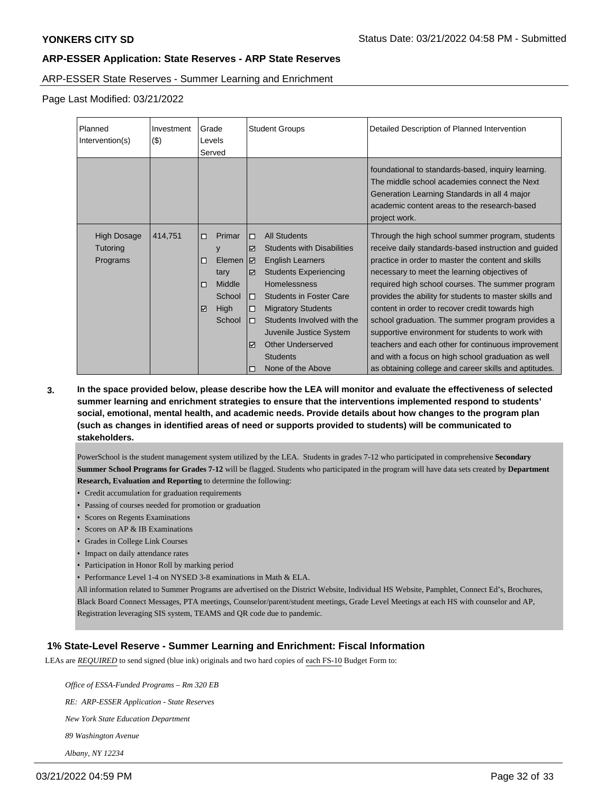### ARP-ESSER State Reserves - Summer Learning and Enrichment

Page Last Modified: 03/21/2022

| Planned<br>Intervention(s)                 | Investment<br>(3) | Grade<br>Levels<br>Served |                                                                     | <b>Student Groups</b>                                              |                                                                                                                                                                                                                                                                                                                                        | Detailed Description of Planned Intervention                                                                                                                                                                                                                                                                                                                                                                                                                                                                                                                                                                                                                 |  |
|--------------------------------------------|-------------------|---------------------------|---------------------------------------------------------------------|--------------------------------------------------------------------|----------------------------------------------------------------------------------------------------------------------------------------------------------------------------------------------------------------------------------------------------------------------------------------------------------------------------------------|--------------------------------------------------------------------------------------------------------------------------------------------------------------------------------------------------------------------------------------------------------------------------------------------------------------------------------------------------------------------------------------------------------------------------------------------------------------------------------------------------------------------------------------------------------------------------------------------------------------------------------------------------------------|--|
|                                            |                   |                           |                                                                     |                                                                    |                                                                                                                                                                                                                                                                                                                                        | foundational to standards-based, inquiry learning.<br>The middle school academies connect the Next<br>Generation Learning Standards in all 4 major<br>academic content areas to the research-based<br>project work.                                                                                                                                                                                                                                                                                                                                                                                                                                          |  |
| <b>High Dosage</b><br>Tutoring<br>Programs | 414,751           | $\Box$<br>O<br>□□<br>☑    | Primar<br>y<br>Elemen<br>tary<br>Middle<br>School<br>High<br>School | □<br>☑<br>I☑<br>⊽<br>□<br>□<br>$\Box$<br>$\blacktriangledown$<br>□ | <b>All Students</b><br><b>Students with Disabilities</b><br><b>English Learners</b><br><b>Students Experiencing</b><br><b>Homelessness</b><br><b>Students in Foster Care</b><br><b>Migratory Students</b><br>Students Involved with the<br>Juvenile Justice System<br><b>Other Underserved</b><br><b>Students</b><br>None of the Above | Through the high school summer program, students<br>receive daily standards-based instruction and guided<br>practice in order to master the content and skills<br>necessary to meet the learning objectives of<br>required high school courses. The summer program<br>provides the ability for students to master skills and<br>content in order to recover credit towards high<br>school graduation. The summer program provides a<br>supportive environment for students to work with<br>teachers and each other for continuous improvement<br>and with a focus on high school graduation as well<br>as obtaining college and career skills and aptitudes. |  |

**3. In the space provided below, please describe how the LEA will monitor and evaluate the effectiveness of selected summer learning and enrichment strategies to ensure that the interventions implemented respond to students' social, emotional, mental health, and academic needs. Provide details about how changes to the program plan (such as changes in identified areas of need or supports provided to students) will be communicated to stakeholders.**

PowerSchool is the student management system utilized by the LEA. Students in grades 7-12 who participated in comprehensive **Secondary Summer School Programs for Grades 7-12** will be flagged. Students who participated in the program will have data sets created by **Department Research, Evaluation and Reporting** to determine the following:

- Credit accumulation for graduation requirements
- Passing of courses needed for promotion or graduation
- Scores on Regents Examinations
- Scores on AP & IB Examinations
- Grades in College Link Courses
- Impact on daily attendance rates
- Participation in Honor Roll by marking period
- Performance Level 1-4 on NYSED 3-8 examinations in Math & ELA.

All information related to Summer Programs are advertised on the District Website, Individual HS Website, Pamphlet, Connect Ed's, Brochures, Black Board Connect Messages, PTA meetings, Counselor/parent/student meetings, Grade Level Meetings at each HS with counselor and AP, Registration leveraging SIS system, TEAMS and QR code due to pandemic.

## **1% State-Level Reserve - Summer Learning and Enrichment: Fiscal Information**

LEAs are *REQUIRED* to send signed (blue ink) originals and two hard copies of each FS-10 Budget Form to:

 *Office of ESSA-Funded Programs – Rm 320 EB*

 *RE: ARP-ESSER Application - State Reserves*

 *New York State Education Department*

 *89 Washington Avenue*

 *Albany, NY 12234*